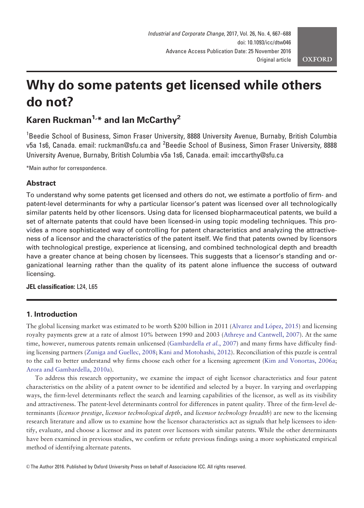# Why do some patents get licensed while others do not?

# Karen Ruckman<sup>1,\*</sup> and Ian McCarthy<sup>2</sup>

<sup>1</sup>Beedie School of Business, Simon Fraser University, 8888 University Avenue, Burnaby, British Columbia v5a 1s6, Canada. email: ruckman@sfu.ca and <sup>2</sup>Beedie School of Business, Simon Fraser University, 8888 University Avenue, Burnaby, British Columbia v5a 1s6, Canada. email: imccarthy@sfu.ca

\*Main author for correspondence.

# **Abstract**

To understand why some patents get licensed and others do not, we estimate a portfolio of firm- and patent-level determinants for why a particular licensor's patent was licensed over all technologically similar patents held by other licensors. Using data for licensed biopharmaceutical patents, we build a set of alternate patents that could have been licensed-in using topic modeling techniques. This provides a more sophisticated way of controlling for patent characteristics and analyzing the attractiveness of a licensor and the characteristics of the patent itself. We find that patents owned by licensors with technological prestige, experience at licensing, and combined technological depth and breadth have a greater chance at being chosen by licensees. This suggests that a licensor's standing and organizational learning rather than the quality of its patent alone influence the success of outward licensing.

JEL classification: L24, L65

# 1. Introduction

The global licensing market was estimated to be worth \$200 billion in 2011 ([Alvarez and L](#page-14-0)ó[pez, 2015](#page-14-0)) and licensing royalty payments grew at a rate of almost 10% between 1990 and 2003 ([Athreye and Cantwell, 2007\)](#page-15-0). At the same time, however, numerous patents remain unlicensed [\(Gambardella](#page-16-0) et al., 2007) and many firms have difficulty finding licensing partners ([Zuniga and Guellec, 2008;](#page-18-0) [Kani and Motohashi, 2012\)](#page-16-0). Reconciliation of this puzzle is central to the call to better understand why firms choose each other for a licensing agreement ([Kim and Vonortas, 2006a;](#page-16-0) [Arora and Gambardella, 2010a\)](#page-15-0).

To address this research opportunity, we examine the impact of eight licensor characteristics and four patent characteristics on the ability of a patent owner to be identified and selected by a buyer. In varying and overlapping ways, the firm-level determinants reflect the search and learning capabilities of the licensor, as well as its visibility and attractiveness. The patent-level determinants control for differences in patent quality. Three of the firm-level determinants (licensor prestige, licensor technological depth, and licensor technology breadth) are new to the licensing research literature and allow us to examine how the licensor characteristics act as signals that help licensees to identify, evaluate, and choose a licensor and its patent over licensors with similar patents. While the other determinants have been examined in previous studies, we confirm or refute previous findings using a more sophisticated empirical method of identifying alternate patents.

V<sup>C</sup> The Author 2016. Published by Oxford University Press on behalf of Associazione ICC. All rights reserved.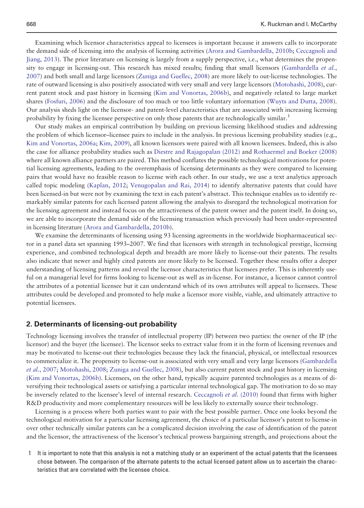Examining which licensor characteristics appeal to licensees is important because it answers calls to incorporate the demand side of licensing into the analysis of licensing activities [\(Arora and Gambardella, 2010b](#page-15-0); [Ceccagnoli and](#page-15-0) [Jiang, 2013\)](#page-15-0). The prior literature on licensing is largely from a supply perspective, i.e., what determines the propen-sity to engage in licensing-out. This research has mixed results; finding that small licensors [\(Gambardella](#page-16-0) *et al.*, [2007\)](#page-16-0) and both small and large licensors [\(Zuniga and Guellec, 2008\)](#page-18-0) are more likely to out-license technologies. The rate of outward licensing is also positively associated with very small and very large licensors [\(Motohashi, 2008](#page-17-0)), current patent stock and past history in licensing [\(Kim and Vonortas, 2006b\)](#page-16-0), and negatively related to large market shares [\(Fosfuri, 2006](#page-15-0)) and the disclosure of too much or too little voluntary information [\(Wuyts and Dutta, 2008](#page-18-0)). Our analysis sheds light on the licensor- and patent-level characteristics that are associated with increasing licensing probability by fixing the licensee perspective on only those patents that are technologically similar.<sup>1</sup>

Our study makes an empirical contribution by building on previous licensing likelihood studies and addressing the problem of which licensor–licensee pairs to include in the analysis. In previous licensing probability studies (e.g., [Kim and Vonortas, 2006a;](#page-16-0) [Kim, 2009](#page-16-0)), all known licensors were paired with all known licensees. Indeed, this is also the case for alliance probability studies such as [Diestre and Rajagopalan \(2012\)](#page-15-0) and [Rothaermel and Boeker \(2008\)](#page-17-0) where all known alliance partners are paired. This method conflates the possible technological motivations for potential licensing agreements, leading to the overemphasis of licensing determinants as they were compared to licensing pairs that would have no feasible reason to license with each other. In our study, we use a text analytics approach called topic modeling [\(Kaplan, 2012](#page-16-0); [Venugopalan and Rai, 2014](#page-17-0)) to identify alternative patents that could have been licensed-in but were not by examining the text in each patent's abstract. This technique enables us to identify remarkably similar patents for each licensed patent allowing the analysis to disregard the technological motivation for the licensing agreement and instead focus on the attractiveness of the patent owner and the patent itself. In doing so, we are able to incorporate the demand side of the licensing transaction which previously had been under-represented in licensing literature ([Arora and Gambardella, 2010b\)](#page-15-0).

We examine the determinants of licensing using 93 licensing agreements in the worldwide biopharmaceutical sector in a panel data set spanning 1993–2007. We find that licensors with strength in technological prestige, licensing experience, and combined technological depth and breadth are more likely to license-out their patents. The results also indicate that newer and highly cited patents are more likely to be licensed. Together these results offer a deeper understanding of licensing patterns and reveal the licensor characteristics that licensees prefer. This is inherently useful on a managerial level for firms looking to license-out as well as in-license. For instance, a licensor cannot control the attributes of a potential licensee but it can understand which of its own attributes will appeal to licensees. These attributes could be developed and promoted to help make a licensor more visible, viable, and ultimately attractive to potential licensees.

### 2. Determinants of licensing-out probability

Technology licensing involves the transfer of intellectual property (IP) between two parties: the owner of the IP (the licensor) and the buyer (the licensee). The licensor seeks to extract value from it in the form of licensing revenues and may be motivated to license-out their technologies because they lack the financial, physical, or intellectual resources to commercialize it. The propensity to license-out is associated with very small and very large licensors [\(Gambardella](#page-16-0) et al.[, 2007;](#page-16-0) [Motohashi, 2008;](#page-17-0) [Zuniga and Guellec, 2008\)](#page-18-0), but also current patent stock and past history in licensing [\(Kim and Vonortas, 2006b\)](#page-16-0). Licensees, on the other hand, typically acquire patented technologies as a means of diversifying their technological assets or satisfying a particular internal technological gap. The motivation to do so may be inversely related to the licensee's level of internal research. [Ceccagnoli](#page-15-0) et al. (2010) found that firms with higher R&D productivity and more complementary resources will be less likely to externally source their technology.

Licensing is a process where both parties want to pair with the best possible partner. Once one looks beyond the technological motivation for a particular licensing agreement, the choice of a particular licensor's patent to license-in over other technically similar patents can be a complicated decision involving the ease of identification of the patent and the licensor, the attractiveness of the licensor's technical prowess bargaining strength, and projections about the

1 It is important to note that this analysis is not a matching study or an experiment of the actual patents that the licensees chose between. The comparison of the alternate patents to the actual licensed patent allow us to ascertain the characteristics that are correlated with the licensee choice.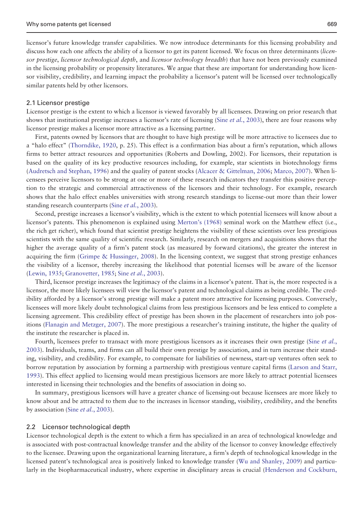licensor's future knowledge transfer capabilities. We now introduce determinants for this licensing probability and discuss how each one affects the ability of a licensor to get its patent licensed. We focus on three determinants (licensor prestige, licensor technological depth, and licensor technology breadth) that have not been previously examined in the licensing probability or propensity literatures. We argue that these are important for understanding how licensor visibility, credibility, and learning impact the probability a licensor's patent will be licensed over technologically similar patents held by other licensors.

#### 2.1 Licensor prestige

Licensor prestige is the extent to which a licensor is viewed favorably by all licensees. Drawing on prior research that shows that institutional prestige increases a licensor's rate of licensing (Sine *et al.*[, 2003\)](#page-17-0), there are four reasons why licensor prestige makes a licensor more attractive as a licensing partner.

First, patents owned by licensors that are thought to have high prestige will be more attractive to licensees due to a "halo effect" ([Thorndike, 1920](#page-17-0), p. 25). This effect is a confirmation bias about a firm's reputation, which allows firms to better attract resources and opportunities (Roberts and Dowling, 2002). For licensors, their reputation is based on the quality of its key productive resources including, for example, star scientists in biotechnology firms [\(Audretsch and Stephan, 1996\)](#page-15-0) and the quality of patent stocks ([Alcacer & Gittelman, 2006;](#page-14-0) [Marco, 2007](#page-17-0)). When licensees perceive licensors to be strong at one or more of these research indicators they transfer this positive perception to the strategic and commercial attractiveness of the licensors and their technology. For example, research shows that the halo effect enables universities with strong research standings to license-out more than their lower standing research counterparts (Sine *et al.*[, 2003](#page-17-0)).

Second, prestige increases a licensor's visibility, which is the extent to which potential licensees will know about a licensor's patents. This phenomenon is explained using [Merton's \(1968\)](#page-17-0) seminal work on the Matthew effect (i.e., the rich get richer), which found that scientist prestige heightens the visibility of these scientists over less prestigious scientists with the same quality of scientific research. Similarly, research on mergers and acquisitions shows that the higher the average quality of a firm's patent stock (as measured by forward citations), the greater the interest in acquiring the firm [\(Grimpe & Hussinger, 2008\)](#page-16-0). In the licensing context, we suggest that strong prestige enhances the visibility of a licensor, thereby increasing the likelihood that potential licenses will be aware of the licensor [\(Lewin, 1935](#page-17-0); [Granovetter, 1985](#page-16-0); Sine et al.[, 2003](#page-17-0)).

Third, licensor prestige increases the legitimacy of the claims in a licensor's patent. That is, the more respected is a licensor, the more likely licensees will view the licensor's patent and technological claims as being credible. The credibility afforded by a licensor's strong prestige will make a patent more attractive for licensing purposes. Conversely, licensees will more likely doubt technological claims from less prestigious licensors and be less enticed to complete a licensing agreement. This credibility effect of prestige has been shown in the placement of researchers into job positions ([Flanagin and Metzger, 2007](#page-15-0)). The more prestigious a researcher's training institute, the higher the quality of the institute the researcher is placed in.

Fourth, licensees prefer to transact with more prestigious licensors as it increases their own prestige (Sine *[et al.](#page-17-0)*, [2003\)](#page-17-0). Individuals, teams, and firms can all build their own prestige by association, and in turn increase their standing, visibility, and credibility. For example, to compensate for liabilities of newness, start-up ventures often seek to borrow reputation by association by forming a partnership with prestigious venture capital firms ([Larson and Starr,](#page-16-0) [1993\)](#page-16-0). This effect applied to licensing would mean prestigious licensors are more likely to attract potential licensees interested in licensing their technologies and the benefits of association in doing so.

In summary, prestigious licensors will have a greater chance of licensing-out because licensees are more likely to know about and be attracted to them due to the increases in licensor standing, visibility, credibility, and the benefits by association (Sine *et al.*[, 2003](#page-17-0)).

#### 2.2 Licensor technological depth

Licensor technological depth is the extent to which a firm has specialized in an area of technological knowledge and is associated with post-contractual knowledge transfer and the ability of the licensor to convey knowledge effectively to the licensee. Drawing upon the organizational learning literature, a firm's depth of technological knowledge in the licensed patent's technological area is positively linked to knowledge transfer [\(Wu and Shanley, 2009](#page-17-0)) and particularly in the biopharmaceutical industry, where expertise in disciplinary areas is crucial ([Henderson and Cockburn,](#page-16-0)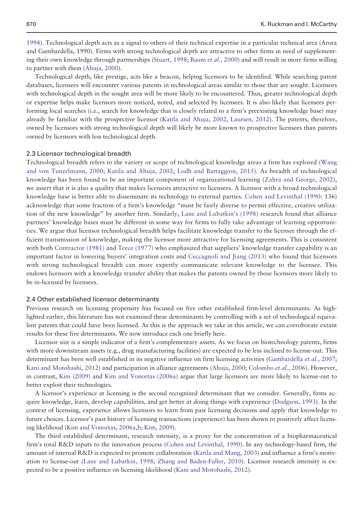[1994\)](#page-16-0). Technological depth acts as a signal to others of their technical expertise in a particular technical area (Arora and Gambardella, 1990). Firms with strong technological depth are attractive to other firms in need of supplement-ing their own knowledge through partnerships ([Stuart, 1998](#page-17-0); Baum et al.[, 2000\)](#page-15-0) and will result in more firms willing to partner with them ([Ahuja, 2000](#page-14-0)).

Technological depth, like prestige, acts like a beacon, helping licensors to be identified. While searching patent databases, licensees will encounter various patents in technological areas similar to those that are sought. Licensors with technological depth in the sought area will be more likely to be encountered. Thus, greater technological depth or expertise helps make licensors more noticed, noted, and selected by licensees. It is also likely that licensees performing local searches (i.e., search for knowledge that is closely related to a firm's preexisting knowledge base) may already be familiar with the prospective licensor [\(Katila and Ahuja, 2002,](#page-16-0) [Laursen, 2012](#page-16-0)). The patents, therefore, owned by licensors with strong technological depth will likely be more known to prospective licensees than patents owned by licensors with less technological depth.

#### 2.3 Licensor technological breadth

Technological breadth refers to the variety or scope of technological knowledge areas a firm has explored [\(Wang](#page-17-0) [and von Tunzelmann, 2000;](#page-17-0) [Katila and Ahuja, 2002;](#page-16-0) [Lodh and Battaggion, 2015](#page-17-0)). As breadth of technological knowledge has been found to be an important component of organizational learning ([Zahra and George, 2002\)](#page-18-0), we assert that it is also a quality that makes licensors attractive to licensees. A licensor with a broad technological knowledge base is better able to disseminate its technology to external parties. [Cohen and Levinthal \(1990:](#page-15-0) 136) acknowledge that some fraction of a firm's knowledge "must be fairly diverse to permit effective, creative utilization of the new knowledge" by another firm. Similarly, [Lane and Lubatkin's \(1998](#page-16-0)) research found that alliance partners' knowledge bases must be different in some way for firms to fully take advantage of learning opportunities. We argue that licensor technological breadth helps facilitate knowledge transfer to the licensee through the efficient transmission of knowledge, making the licensor more attractive for licensing agreements. This is consistent with both [Contractor \(1981\)](#page-15-0) and [Teece \(1977\)](#page-17-0) who emphasized that suppliers' knowledge transfer capability is an important factor in lowering buyers' integration costs and [Ceccagnoli and Jiang \(2013\)](#page-15-0) who found that licensors with strong technological breadth can more expertly communicate relevant knowledge to the licensee. This endows licensors with a knowledge transfer ability that makes the patents owned by those licensors more likely to be in-licensed by licensees.

#### 2.4 Other established licensor determinants

Previous research on licensing propensity has focused on five other established firm-level determinants. As highlighted earlier, this literature has not examined these determinants by controlling with a set of technological equivalent patents that could have been licensed. As this is the approach we take in this article, we can corroborate extant results for these five determinants. We now introduce each one briefly here.

Licensor size is a simple indicator of a firm's complementary assets. As we focus on biotechnology patents, firms with more downstream assets (e.g., drug manufacturing facilities) are expected to be less inclined to license-out. This determinant has been well established in its negative influence on firm licensing activities ([Gambardella](#page-16-0) et al., 2007; [Kani and Motohashi, 2012](#page-16-0)) and participation in alliance agreements ([Ahuja, 2000](#page-14-0); [Colombo](#page-15-0) et al., 2006). However, in contrast, [Kim \(2009\)](#page-16-0) and [Kim and Vonortas \(2006a](#page-16-0)) argue that large licensors are more likely to license-out to better exploit their technologies.

A licensor's experience at licensing is the second recognized determinant that we consider. Generally, firms acquire knowledge, learn, develop capabilities, and get better at doing things with experience [\(Dodgson, 1993](#page-15-0)). In the context of licensing, experience allows licensors to learn from past licensing decisions and apply that knowledge to future choices. Licensor's past history of licensing transactions (experience) has been shown to positively affect licensing likelihood [\(Kim and Vonortas, 2006a](#page-16-0),[b](#page-16-0); [Kim, 2009\)](#page-16-0).

The third established determinant, research intensity, is a proxy for the concentration of a biopharmaceutical firm's total R&D inputs to the innovation process ([Cohen and Levinthal, 1990](#page-15-0)). In any technology-based firm, the amount of internal R&D is expected to promote collaboration ([Katila and Mang, 2003\)](#page-17-0) and influence a firm's motivation to license-out [\(Lane and Lubatkin, 1998](#page-16-0); [Zhang and Baden-Fuller, 2010](#page-18-0)). Licensor research intensity is expected to be a positive influence on licensing likelihood [\(Kani and Motohashi, 2012\)](#page-16-0).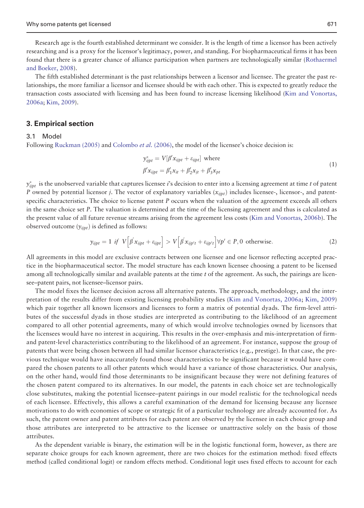Research age is the fourth established determinant we consider. It is the length of time a licensor has been actively researching and is a proxy for the licensor's legitimacy, power, and standing. For biopharmaceutical firms it has been found that there is a greater chance of alliance participation when partners are technologically similar [\(Rothaermel](#page-17-0) [and Boeker, 2008\)](#page-17-0).

The fifth established determinant is the past relationships between a licensor and licensee. The greater the past relationships, the more familiar a licensor and licensee should be with each other. This is expected to greatly reduce the transaction costs associated with licensing and has been found to increase licensing likelihood [\(Kim and Vonortas,](#page-16-0) [2006a](#page-16-0); [Kim, 2009\)](#page-16-0).

# 3. Empirical section

#### 3.1 Model

Following [Ruckman \(2005\)](#page-17-0) and [Colombo](#page-15-0) *et al.* (2006), the model of the licensee's choice decision is:

$$
y_{ijpt}^* = V[\beta' x_{ijpt} + \varepsilon_{ijpt}] \text{ where}
$$
  

$$
\beta' x_{ijpt} = \beta'_1 x_{it} + \beta'_2 x_{jt} + \beta'_3 x_{pt}
$$
 (1)

 $y_{ijpt}^*$  is the unobserved variable that captures licensee  $i$ 's decision to enter into a licensing agreement at time  $t$  of patent P owned by potential licensor j. The vector of explanatory variables  $(x_{ijpt})$  includes licensee-, licensor-, and patentspecific characteristics. The choice to license patent  $P$  occurs when the valuation of the agreement exceeds all others in the same choice set P. The valuation is determined at the time of the licensing agreement and thus is calculated as the present value of all future revenue streams arising from the agreement less costs ([Kim and Vonortas, 2006b\)](#page-16-0). The observed outcome  $(v_{i\text{int}})$  is defined as follows:

$$
y_{ijpt} = 1 \text{ if } V\left[\beta' x_{ijpt} + \varepsilon_{ijpt}\right] > V\left[\beta' x_{ijpt} + \varepsilon_{ijpt}\right] \forall p' \in P, 0 \text{ otherwise.}
$$
 (2)

All agreements in this model are exclusive contracts between one licensee and one licensor reflecting accepted practice in the biopharmaceutical sector. The model structure has each known licensee choosing a patent to be licensed among all technologically similar and available patents at the time  $t$  of the agreement. As such, the pairings are licensee–patent pairs, not licensee–licensor pairs.

The model fixes the licensee decision across all alternative patents. The approach, methodology, and the interpretation of the results differ from existing licensing probability studies [\(Kim and Vonortas, 2006a;](#page-16-0) [Kim, 2009](#page-16-0)) which pair together all known licensors and licensees to form a matrix of potential dyads. The firm-level attributes of the successful dyads in those studies are interpreted as contributing to the likelihood of an agreement compared to all other potential agreements, many of which would involve technologies owned by licensors that the licensees would have no interest in acquiring. This results in the over-emphasis and mis-interpretation of firmand patent-level characteristics contributing to the likelihood of an agreement. For instance, suppose the group of patents that were being chosen between all had similar licensor characteristics (e.g., prestige). In that case, the previous technique would have inaccurately found those characteristics to be significant because it would have compared the chosen patents to all other patents which would have a variance of those characteristics. Our analysis, on the other hand, would find those determinants to be insignificant because they were not defining features of the chosen patent compared to its alternatives. In our model, the patents in each choice set are technologically close substitutes, making the potential licensee–patent pairings in our model realistic for the technological needs of each licensee. Effectively, this allows a careful examination of the demand for licensing because any licensee motivations to do with economies of scope or strategic fit of a particular technology are already accounted for. As such, the patent owner and patent attributes for each patent are observed by the licensee in each choice group and those attributes are interpreted to be attractive to the licensee or unattractive solely on the basis of those attributes.

As the dependent variable is binary, the estimation will be in the logistic functional form, however, as there are separate choice groups for each known agreement, there are two choices for the estimation method: fixed effects method (called conditional logit) or random effects method. Conditional logit uses fixed effects to account for each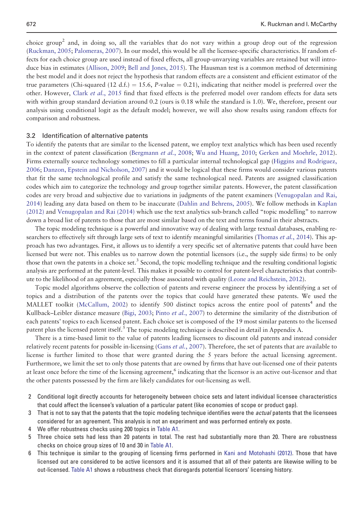choice group<sup>2</sup> and, in doing so, all the variables that do not vary within a group drop out of the regression [\(Ruckman, 2005;](#page-17-0) [Palomeras, 2007](#page-17-0)). In our model, this would be all the licensee-specific characteristics. If random effects for each choice group are used instead of fixed effects, all group-unvarying variables are retained but will introduce bias in estimates [\(Allison, 2009;](#page-14-0) [Bell and Jones, 2015](#page-15-0)). The Hausman test is a common method of determining the best model and it does not reject the hypothesis that random effects are a consistent and efficient estimator of the true parameters (Chi-squared (12 d.f.) = 15.6, P-value = 0.21), indicating that neither model is preferred over the other. However, Clark et al[., 2015](#page-15-0) find that fixed effects is the preferred model over random effects for data sets with within group standard deviation around 0.2 (ours is 0.18 while the standard is 1.0). We, therefore, present our analysis using conditional logit as the default model; however, we will also show results using random effects for comparison and robustness.

#### 3.2 Identification of alternative patents

To identify the patents that are similar to the licensed patent, we employ text analytics which has been used recently in the context of patent classification [\(Bergmann](#page-15-0) *et al.*, 2008; [Wu and Huang, 2010](#page-17-0); [Gerken and Moehrle, 2012\)](#page-16-0). Firms externally source technology sometimes to fill a particular internal technological gap [\(Higgins and Rodriguez,](#page-16-0) [2006;](#page-16-0) [Danzon, Epstein and Nicholson, 2007](#page-15-0)) and it would be logical that these firms would consider various patents that fit the same technological profile and satisfy the same technological need. Patents are assigned classification codes which aim to categorize the technology and group together similar patents. However, the patent classification codes are very broad and subjective due to variations in judgments of the patent examiners [\(Venugopalan and Rai,](#page-17-0) [2014\)](#page-17-0) leading any data based on them to be inaccurate ([Dahlin and Behrens, 2005\)](#page-15-0). We follow methods in [Kaplan](#page-16-0) [\(2012\)](#page-16-0) and [Venugopalan and Rai \(2014\)](#page-17-0) which use the text analytics sub-branch called "topic modelling" to narrow down a broad list of patents to those that are most similar based on the text and terms found in their abstracts.

The topic modeling technique is a powerful and innovative way of dealing with large textual databases, enabling re-searchers to effectively sift through large sets of text to identify meaningful similarities [\(Thomas](#page-17-0) et al., 2014). This approach has two advantages. First, it allows us to identify a very specific set of alternative patents that could have been licensed but were not. This enables us to narrow down the potential licensors (i.e., the supply side firms) to be only those that own the patents in a choice set.<sup>3</sup> Second, the topic modelling technique and the resulting conditional logistic analysis are performed at the patent-level. This makes it possible to control for patent-level characteristics that contribute to the likelihood of an agreement, especially those associated with quality ([Leone and Reichstein, 2012\)](#page-16-0).

Topic model algorithms observe the collection of patents and reverse engineer the process by identifying a set of topics and a distribution of the patents over the topics that could have generated these patents. We used the MALLET toolkit ([McCallum, 2002\)](#page-17-0) to identify 500 distinct topics across the entire pool of patents<sup>4</sup> and the Kullback–Leibler distance measure [\(Bigi, 2003](#page-15-0); Pinto et al.[, 2007](#page-17-0)) to determine the similarity of the distribution of each patents' topics to each licensed patent. Each choice set is composed of the 19 most similar patents to the licensed patent plus the licensed patent itself.<sup>5</sup> The topic modeling technique is described in detail in Appendix A.

There is a time-based limit to the value of patents leading licensees to discount old patents and instead consider relatively recent patents for possible in-licensing (Gans *et al.*[, 2007](#page-16-0)). Therefore, the set of patents that are available to license is further limited to those that were granted during the 5 years before the actual licensing agreement. Furthermore, we limit the set to only those patents that are owned by firms that have out-licensed one of their patents at least once before the time of the licensing agreement,<sup>6</sup> indicating that the licensor is an active out-licensor and that the other patents possessed by the firm are likely candidates for out-licensing as well.

- 2 Conditional logit directly accounts for heterogeneity between choice sets and latent individual licensee characteristics that could affect the licensee's valuation of a particular patent (like economies of scope or product gap).
- 3 That is not to say that the patents that the topic modeling technique identifies were the *actual* patents that the licensees considered for an agreement. This analysis is not an experiment and was performed entirely ex poste.
- We offer robustness checks using 200 topics in [Table A1.](#page-19-0)
- 5 Three choice sets had less than 20 patents in total. The rest had substantially more than 20. There are robustness checks on choice group sizes of 10 and 30 in [Table A1.](#page-19-0)
- 6 This technique is similar to the grouping of licensing firms performed in [Kani and Motohashi \(2012\).](#page-16-0) Those that have licensed out are considered to be active licensors and it is assumed that all of their patents are likewise willing to be out-licensed. [Table A1](#page-19-0) shows a robustness check that disregards potential licensors' licensing history.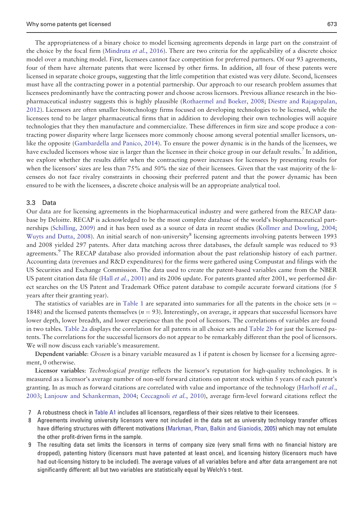The appropriateness of a binary choice to model licensing agreements depends in large part on the constraint of the choice by the focal firm ([Mindruta](#page-17-0) *et al.*, 2016). There are two criteria for the applicability of a discrete choice model over a matching model. First, licensees cannot face competition for preferred partners. Of our 93 agreements, four of them have alternate patents that were licensed by other firms. In addition, all four of these patents were licensed in separate choice groups, suggesting that the little competition that existed was very dilute. Second, licensees must have all the contracting power in a potential partnership. Our approach to our research problem assumes that licensees predominantly have the contracting power and choose across licensors. Previous alliance research in the biopharmaceutical industry suggests this is highly plausible [\(Rothaermel and Boeker, 2008](#page-17-0); [Diestre and Rajagopalan,](#page-15-0) [2012\)](#page-15-0). Licensors are often smaller biotechnology firms focused on developing technologies to be licensed, while the licensees tend to be larger pharmaceutical firms that in addition to developing their own technologies will acquire technologies that they then manufacture and commercialize. These differences in firm size and scope produce a contracting power disparity where large licensees more commonly choose among several potential smaller licensors, unlike the opposite [\(Gambardella and Panico, 2014\)](#page-16-0). To ensure the power dynamic is in the hands of the licensees, we have excluded licensors whose size is larger than the licensee in their choice group in our default results. In addition, we explore whether the results differ when the contracting power increases for licensees by presenting results for when the licensors' sizes are less than 75% and 50% the size of their licensees. Given that the vast majority of the licensees do not face rivalry constraints in choosing their preferred patent and that the power dynamic has been ensured to be with the licensees, a discrete choice analysis will be an appropriate analytical tool.

#### 3.3 Data

Our data are for licensing agreements in the biopharmaceutical industry and were gathered from the RECAP database by Deloitte. RECAP is acknowledged to be the most complete database of the world's biopharmaceutical partnerships [\(Schilling, 2009\)](#page-17-0) and it has been used as a source of data in recent studies [\(Kollmer and Dowling, 2004;](#page-16-0) [Wuyts and Dutta, 2008](#page-18-0)). An initial search of non-university<sup>8</sup> licensing agreements involving patents between 1993 and 2008 yielded 297 patents. After data matching across three databases, the default sample was reduced to 93 agreements.<sup>9</sup> The RECAP database also provided information about the past relationship history of each partner. Accounting data (revenues and R&D expenditures) for the firms were gathered using Compustat and filings with the US Securities and Exchange Commission. The data used to create the patent-based variables came from the NBER US patent citation data file (Hall *et al.*[, 2001](#page-16-0)) and its 2006 update. For patents granted after 2001, we performed direct searches on the US Patent and Trademark Office patent database to compile accurate forward citations (for 5 years after their granting year).

The statistics of variables are in [Table 1](#page-7-0) are separated into summaries for all the patents in the choice sets ( $n =$ 1848) and the licensed patents themselves ( $n = 93$ ). Interestingly, on average, it appears that successful licensors have lower depth, lower breadth, and lower experience than the pool of licensors. The correlations of variables are found in two tables. [Table 2a](#page-8-0) displays the correlation for all patents in all choice sets and [Table 2b](#page-8-0) for just the licensed patents. The correlations for the successful licensors do not appear to be remarkably different than the pool of licensors. We will now discuss each variable's measurement.

Dependent variable: Chosen is a binary variable measured as 1 if patent is chosen by licensee for a licensing agreement, 0 otherwise.

Licensor variables: Technological prestige reflects the licensor's reputation for high-quality technologies. It is measured as a licensor's average number of non-self forward citations on patent stock within 5 years of each patent's granting. In as much as forward citations are correlated with value and importance of the technology [\(Harhoff](#page-16-0) et al., [2003;](#page-16-0) [Lanjouw and Schankerman, 2004](#page-16-0); [Ceccagnoli](#page-15-0) et al., 2010), average firm-level forward citations reflect the

- 7 A robustness check in [Table A1](#page-19-0) includes all licensors, regardless of their sizes relative to their licensees.
- 8 Agreements involving university licensors were not included in the data set as university technology transfer offices have differing structures with different motivations ([Markman, Phan, Balkin and Gianiodis, 2005\)](#page-17-0) which may not emulate the other profit-driven firms in the sample.
- 9 The resulting data set limits the licensors in terms of company size (very small firms with no financial history are dropped), patenting history (licensors must have patented at least once), and licensing history (licensors much have had out-licensing history to be included). The average values of all variables before and after data arrangement are not significantly different: all but two variables are statistically equal by Welch's t-test.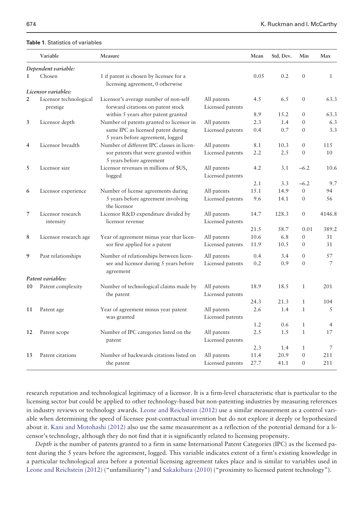### <span id="page-7-0"></span>Table 1. Statistics of variables

|                | Variable                           | Measure                                                                     |                                 | Mean | Std. Dev. | Min              | Max            |
|----------------|------------------------------------|-----------------------------------------------------------------------------|---------------------------------|------|-----------|------------------|----------------|
|                | Dependent variable:                |                                                                             |                                 |      |           |                  |                |
| $\mathbf{1}$   | Chosen                             | 1 if patent is chosen by licensee for a<br>licensing agreement, 0 otherwise |                                 | 0.05 | 0.2       | $\mathbf{0}$     | $\mathbf{1}$   |
|                | Licensor variables:                |                                                                             |                                 |      |           |                  |                |
| $\overline{2}$ | Licensor technological<br>prestige | Licensor's average number of non-self<br>forward citations on patent stock  | All patents<br>Licensed patents | 4.5  | 6.5       | $\mathbf{0}$     | 63.3           |
|                |                                    | within 5 years after patent granted                                         |                                 | 8.9  | 15.2      | $\mathbf{0}$     | 63.3           |
| 3              | Licensor depth                     | Number of patents granted to licensor in                                    | All patents                     | 2.3  | 1.4       | $\mathbf{0}$     | 6.3            |
|                |                                    | same IPC as licensed patent during<br>5 years before agreement, logged      | Licensed patents                | 0.4  | 0.7       | $\Omega$         | 3.3            |
| $\overline{4}$ | Licensor breadth                   | Number of different IPC classes in licen-                                   | All patents                     | 8.1  | 10.3      | $\mathbf{0}$     | 115            |
|                |                                    | sor patents that were granted within<br>5 years before agreement            | Licensed patents                | 2.2  | 2.5       | $\mathbf{0}$     | 10             |
| 5              | Licensor size                      | Licensor revenues in millions of \$US,<br>logged                            | All patents<br>Licensed patents | 4.2  | 3.1       | $-6.2$           | 10.6           |
|                |                                    |                                                                             |                                 | 2.1  | 3.3       | $-6.2$           | 9.7            |
| 6              | Licensor experience                | Number of license agreements during                                         | All patents                     | 15.1 | 14.9      | $\mathbf{0}$     | 94             |
|                |                                    | 5 years before agreement involving<br>the licensor                          | Licensed patents                | 9.6  | 14.1      | $\mathbf{0}$     | 56             |
| 7              | Licensor research                  | Licensor R&D expenditure divided by                                         | All patents                     | 14.7 | 128.3     | $\mathbf{0}$     | 4146.8         |
|                | intensity                          | licensor revenue                                                            | Licensed patents                |      |           |                  |                |
|                |                                    |                                                                             |                                 | 21.5 | 58.7      | 0.01             | 389.2          |
| 8              | Licensor research age              | Year of agreement minus year that licen-                                    | All patents                     | 10.6 | 6.8       | $\mathbf{0}$     | 31             |
|                |                                    | sor first applied for a patent                                              | Licensed patents                | 11.9 | 10.5      | $\boldsymbol{0}$ | 31             |
| 9              | Past relationships                 | Number of relationships between licen-                                      | All patents                     | 0.4  | 3.4       | $\mathbf{0}$     | 57             |
|                |                                    | see and licensor during 5 years before<br>agreement                         | Licensed patents                | 0.2  | 0.9       | $\Omega$         | 7              |
|                | Patent variables:                  |                                                                             |                                 |      |           |                  |                |
| 10             | Patent complexity                  | Number of technological claims made by<br>the patent                        | All patents<br>Licensed patents | 18.9 | 18.5      | 1                | 201            |
|                |                                    |                                                                             |                                 | 24.3 | 21.3      | $\mathbf{1}$     | 104            |
| 11             | Patent age                         | Year of agreement minus year patent                                         | All patents                     | 2.6  | 1.4       | $\mathbf{1}$     | 5              |
|                |                                    | was granted                                                                 | Licensed patents                |      |           |                  |                |
|                |                                    |                                                                             |                                 | 1.2  | 0.6       | $\mathbf{1}$     | $\overline{4}$ |
| 12             | Patent scope                       | Number of IPC categories listed on the<br>patent                            | All patents<br>Licensed patents | 2.5  | 1.5       | $\mathbf{1}$     | 17             |
|                |                                    |                                                                             |                                 | 2.3  | 1.4       | $\mathbf{1}$     | 7              |
| 13             | Patent citations                   | Number of backwards citations listed on                                     | All patents                     | 11.4 | 20.9      | $\theta$         | 211            |
|                |                                    | the patent                                                                  | Licensed patents                | 27.7 | 41.1      | $\mathbf{0}$     | 211            |

research reputation and technological legitimacy of a licensor. It is a firm-level characteristic that is particular to the licensing sector but could be applied to other technology-based but non-patenting industries by measuring references in industry reviews or technology awards. [Leone and Reichstein \(2012\)](#page-16-0) use a similar measurement as a control variable when determining the speed of licensee post-contractual invention but do not explore it deeply or hypothesized about it. [Kani and Motohashi \(2012\)](#page-16-0) also use the same measurement as a reflection of the potential demand for a licensor's technology, although they do not find that it is significantly related to licensing propensity.

Depth is the number of patents granted to a firm in same International Patent Categories (IPC) as the licensed patent during the 5 years before the agreement, logged. This variable indicates extent of a firm's existing knowledge in a particular technological area before a potential licensing agreement takes place and is similar to variables used in [Leone and Reichstein \(2012\)](#page-16-0) ("unfamiliarity") and [Sakakibara \(2010](#page-17-0)) ("proximity to licensed patent technology").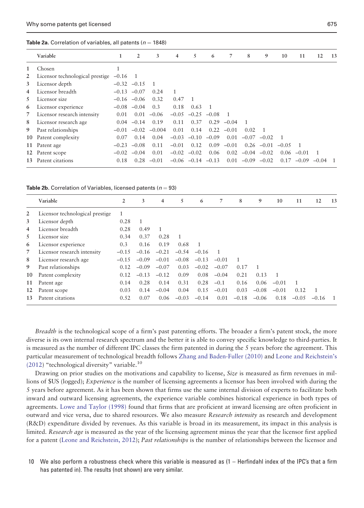<span id="page-8-0"></span>Table 2a. Correlation of variables, all patents ( $n = 1848$ )

|             | Variable                        | 1         | 2               | 3              | 4       | 5                       | 6              | 7       | 8    | 9               | 10      | 11           | 12        | -13 |
|-------------|---------------------------------|-----------|-----------------|----------------|---------|-------------------------|----------------|---------|------|-----------------|---------|--------------|-----------|-----|
| 1           | Chosen                          | 1         |                 |                |         |                         |                |         |      |                 |         |              |           |     |
| 2           | Licensor technological prestige | $-0.16$ 1 |                 |                |         |                         |                |         |      |                 |         |              |           |     |
| 3           | Licensor depth                  |           | $-0.32 -0.15$   | $\overline{1}$ |         |                         |                |         |      |                 |         |              |           |     |
| 4           | Licensor breadth                | $-0.13$   | $-0.07$         | 0.24           | 1       |                         |                |         |      |                 |         |              |           |     |
| 5           | Licensor size                   |           | $-0.16$ $-0.06$ | 0.32           | 0.47    | $\overline{1}$          |                |         |      |                 |         |              |           |     |
| 6           | Licensor experience             |           | $-0.08$ $-0.04$ | 0.3            | 0.18    | 0.63                    | $\overline{1}$ |         |      |                 |         |              |           |     |
| $7^{\circ}$ | Licensor research intensity     | 0.01      | 0.01            | $-0.06$        | $-0.05$ | $-0.25$                 | $-0.08$        | -1      |      |                 |         |              |           |     |
| 8           | Licensor research age           |           | $0.04 -0.14$    | 0.19           | 0.11    | 0.37                    | 0.29           | $-0.04$ |      |                 |         |              |           |     |
| 9           | Past relationships              | $-0.01$   | $-0.02$         | $-0.004$       | 0.01    | 0.14                    | 0.22           | $-0.01$ | 0.02 |                 |         |              |           |     |
|             | 10 Patent complexity            | 0.07      | 0.14            | 0.04           | $-0.03$ |                         | $-0.10 - 0.09$ | 0.01    |      | $-0.07 -0.02$   |         |              |           |     |
|             | 11 Patent age                   | $-0.23$   | $-0.08$         | 0.11           | $-0.01$ | 0.12                    | 0.09           | $-0.01$ |      | $0.26 -0.01$    | $-0.05$ |              |           |     |
|             | 12 Patent scope                 |           | $-0.02$ $-0.04$ | 0.01           | $-0.02$ | $-0.02$                 | 0.06           | 0.02    |      | $-0.04$ $-0.02$ |         | $0.06 -0.01$ |           |     |
| 13          | Patent citations                | 0.18      | 0.28            | $-0.01$        |         | $-0.06$ $-0.14$ $-0.13$ |                | 0.01    |      | $-0.09 -0.02$   | 0.17    | $-0.09$      | $-0.04$ 1 |     |
|             |                                 |           |                 |                |         |                         |                |         |      |                 |         |              |           |     |

**Table 2b.** Correlation of Variables, licensed patents ( $n = 93$ )

|    | Variable                        | 2            | 3       | 4       | 5              | 6              | 7              | 8       | 9              | 10           | 11      | 12             | 13             |
|----|---------------------------------|--------------|---------|---------|----------------|----------------|----------------|---------|----------------|--------------|---------|----------------|----------------|
| 2  | Licensor technological prestige | $\mathbf{1}$ |         |         |                |                |                |         |                |              |         |                |                |
| 3  | Licensor depth                  | 0.28         | 1       |         |                |                |                |         |                |              |         |                |                |
| 4  | Licensor breadth                | 0.28         | 0.49    | 1       |                |                |                |         |                |              |         |                |                |
| 5. | Licensor size                   | 0.34         | 0.37    | 0.28    | $\overline{1}$ |                |                |         |                |              |         |                |                |
| 6  | Licensor experience             | 0.3          | 0.16    | 0.19    | 0.68           | $\overline{1}$ |                |         |                |              |         |                |                |
| 7  | Licensor research intensity     | $-0.15$      | $-0.16$ | $-0.21$ | $-0.54$        | $-0.16$        | $\overline{1}$ |         |                |              |         |                |                |
| 8  | Licensor research age           | $-0.15$      | $-0.09$ | $-0.01$ | $-0.08$        | $-0.13$        | $-0.01$        |         |                |              |         |                |                |
| 9  | Past relationships              | 0.12         | $-0.09$ | $-0.07$ | 0.03           | $-0.02$        | $-0.07$        | 0.17    | $\overline{1}$ |              |         |                |                |
| 10 | Patent complexity               | 0.12         | $-0.13$ | $-0.12$ | 0.09           | 0.08           | $-0.04$        | 0.21    | 0.13           | $\mathbf{1}$ |         |                |                |
| 11 | Patent age                      | 0.14         | 0.28    | 0.14    | 0.31           | 0.28           | $-0.1$         | 0.16    | 0.06           | $-0.01$      |         |                |                |
| 12 | Patent scope                    | 0.03         | 0.14    | $-0.04$ | 0.04           | 0.15           | $-0.01$        | 0.03    | $-0.08$        | $-0.01$      | 0.12    | $\overline{1}$ |                |
| 13 | Patent citations                | 0.52         | 0.07    | 0.06    | $-0.03$        | $-0.14$        | 0.01           | $-0.18$ | $-0.06$        | 0.18         | $-0.05$ | $-0.16$        | $\overline{1}$ |
|    |                                 |              |         |         |                |                |                |         |                |              |         |                |                |

Breadth is the technological scope of a firm's past patenting efforts. The broader a firm's patent stock, the more diverse is its own internal research spectrum and the better it is able to convey specific knowledge to third-parties. It is measured as the number of different IPC classes the firm patented in during the 5 years before the agreement. This particular measurement of technological breadth follows [Zhang and Baden-Fuller \(2010\)](#page-18-0) and [Leone and Reichstein's](#page-16-0) [\(2012\)](#page-16-0) "technological diversity" variable.<sup>10</sup>

Drawing on prior studies on the motivations and capability to license, Size is measured as firm revenues in millions of \$US (logged); *Experience* is the number of licensing agreements a licensor has been involved with during the 5 years before agreement. As it has been shown that firms use the same internal division of experts to facilitate both inward and outward licensing agreements, the experience variable combines historical experience in both types of agreements. [Lowe and Taylor \(1998\)](#page-17-0) found that firms that are proficient at inward licensing are often proficient in outward and vice versa, due to shared resources. We also measure Research intensity as research and development (R&D) expenditure divided by revenues. As this variable is broad in its measurement, its impact in this analysis is limited. Research age is measured as the year of the licensing agreement minus the year that the licensor first applied for a patent [\(Leone and Reichstein, 2012](#page-16-0)); Past relationships is the number of relationships between the licensor and

10 We also perform a robustness check where this variable is measured as (1 – Herfindahl index of the IPC's that a firm has patented in). The results (not shown) are very similar.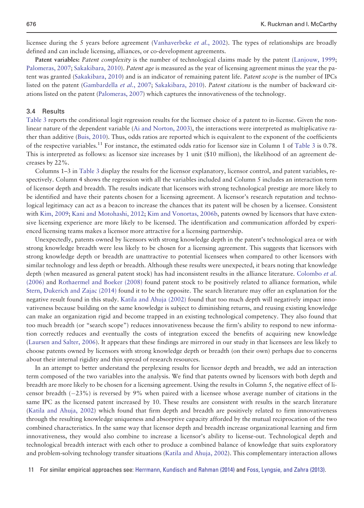licensee during the 5 years before agreement ([Vanhaverbeke](#page-17-0) *et al.*, 2002). The types of relationships are broadly defined and can include licensing, alliances, or co-development agreements.

Patent variables: Patent complexity is the number of technological claims made by the patent [\(Lanjouw, 1999;](#page-16-0) [Palomeras, 2007](#page-17-0); [Sakakibara, 2010\)](#page-17-0). Patent age is measured as the year of licensing agreement minus the year the pa-tent was granted [\(Sakakibara, 2010\)](#page-17-0) and is an indicator of remaining patent life. Patent scope is the number of IPCs listed on the patent [\(Gambardella](#page-16-0) et al., 2007; [Sakakibara, 2010\)](#page-17-0). Patent citations is the number of backward citations listed on the patent ([Palomeras, 2007\)](#page-17-0) which captures the innovativeness of the technology.

#### 3.4 Results

[Table 3](#page-10-0) reports the conditional logit regression results for the licensee choice of a patent to in-license. Given the nonlinear nature of the dependent variable [\(Ai and Norton, 2003\)](#page-14-0), the interactions were interpreted as multiplicative rather than additive [\(Buis, 2010](#page-15-0)). Thus, odds ratios are reported which is equivalent to the exponent of the coefficients of the respective variables.<sup>11</sup> For instance, the estimated odds ratio for licensor size in Column 1 of [Table 3](#page-10-0) is 0.78. This is interpreted as follows: as licensor size increases by 1 unit (\$10 million), the likelihood of an agreement decreases by 22%.

Columns 1–3 in [Table 3](#page-10-0) display the results for the licensor explanatory, licensor control, and patent variables, respectively. Column 4 shows the regression with all the variables included and Column 5 includes an interaction term of licensor depth and breadth. The results indicate that licensors with strong technological prestige are more likely to be identified and have their patents chosen for a licensing agreement. A licensor's research reputation and technological legitimacy can act as a beacon to increase the chances that its patent will be chosen by a licensee. Consistent with [Kim, 2009](#page-16-0); [Kani and Motohashi, 2012;](#page-16-0) [Kim and Vonortas, 2006b](#page-16-0), patents owned by licensors that have extensive licensing experience are more likely to be licensed. The identification and communication afforded by experienced licensing teams makes a licensor more attractive for a licensing partnership.

Unexpectedly, patents owned by licensors with strong knowledge depth in the patent's technological area or with strong knowledge breadth were less likely to be chosen for a licensing agreement. This suggests that licensors with strong knowledge depth or breadth are unattractive to potential licensees when compared to other licensors with similar technology and less depth or breadth. Although these results were unexpected, it bears noting that knowledge depth (when measured as general patent stock) has had inconsistent results in the alliance literature. [Colombo](#page-15-0) et al. [\(2006\)](#page-15-0) and [Rothaermel and Boeker \(2008\)](#page-17-0) found patent stock to be positively related to alliance formation, while [Stern, Dukerich and Zajac \(2014\)](#page-17-0) found it to be the opposite. The search literature may offer an explanation for the negative result found in this study. [Katila and Ahuja \(2002\)](#page-16-0) found that too much depth will negatively impact innovativeness because building on the same knowledge is subject to diminishing returns, and reusing existing knowledge can make an organization rigid and become trapped in an existing technological competency. They also found that too much breadth (or "search scope") reduces innovativeness because the firm's ability to respond to new information correctly reduces and eventually the costs of integration exceed the benefits of acquiring new knowledge [\(Laursen and Salter, 2006](#page-16-0)). It appears that these findings are mirrored in our study in that licensees are less likely to choose patents owned by licensors with strong knowledge depth or breadth (on their own) perhaps due to concerns about their internal rigidity and thin spread of research resources.

In an attempt to better understand the perplexing results for licensor depth and breadth, we add an interaction term composed of the two variables into the analysis. We find that patents owned by licensors with both depth and breadth are more likely to be chosen for a licensing agreement. Using the results in Column 5, the negative effect of licensor breadth  $(-23%)$  is reversed by 9% when paired with a licensee whose average number of citations in the same IPC as the licensed patent increased by 10. These results are consistent with results in the search literature [\(Katila and Ahuja, 2002\)](#page-16-0) which found that firm depth and breadth are positively related to firm innovativeness through the resulting knowledge uniqueness and absorptive capacity afforded by the mutual reciprocation of the two combined characteristics. In the same way that licensor depth and breadth increase organizational learning and firm innovativeness, they would also combine to increase a licensor's ability to license-out. Technological depth and technological breadth interact with each other to produce a combined balance of knowledge that suits exploratory and problem-solving technology transfer situations ([Katila and Ahuja, 2002](#page-16-0)). This complementary interaction allows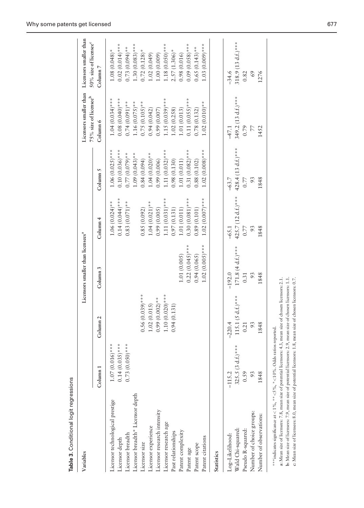<span id="page-10-0"></span>

| Table 3. Conditional logit regressions            |                                        |                     |                                               |                                       |                                        |                                                             |                                                             |
|---------------------------------------------------|----------------------------------------|---------------------|-----------------------------------------------|---------------------------------------|----------------------------------------|-------------------------------------------------------------|-------------------------------------------------------------|
| Variables                                         |                                        |                     | Licensors smaller than licensees <sup>a</sup> |                                       |                                        | Licensors smaller than<br>75% size of licensee <sup>b</sup> | Licensors smaller than<br>50% size of licensee <sup>c</sup> |
|                                                   | Column <sub>1</sub>                    | Column <sub>2</sub> | Column 3                                      | Column <sub>4</sub>                   | Column 5                               | Column 6                                                    | Column <sub>7</sub>                                         |
| Licensor technological prestige<br>Licensor depth | $0.14(0.035)^***$<br>$1.07(0.016)$ *** |                     |                                               | $0.14(0.044)$ ***<br>$1.06(0.024)$ ** | $0.10(0.036)$ ***<br>$1.06(0.025)$ *** | $0.08(0.040)***$<br>$1.04(0.034)$ ***                       | $0.02(0.014)$ ***<br>$1.08(0.048)$ *                        |
| Licensor breadth                                  | $0.73(0.050)^{***}$                    |                     |                                               | $0.83(0.071)$ **                      | $0.77(0.079)*$                         | $0.74(0.091)$ **                                            | $0.73(0.094)$ **                                            |
| Licensor breadth* Licensor depth                  |                                        |                     |                                               |                                       | $1.09(0.043)$ **                       | $1.16(0.075)$ **                                            | $1.30(0.083)$ ***                                           |
| Licensor size                                     |                                        | $0.56(0.039)$ ***   |                                               | 0.85(0.092)                           | 0.84(0.094)                            | $0.75(0.105)$ **                                            | $0.72(0.128)$ *                                             |
| Licensor experience                               |                                        | 1.02(0.015)         |                                               | $1.04(0.021)$ **                      | $1.04(0.020)**$                        | 0.94(0.042)                                                 | .02(0.049)                                                  |
| Licensor research intensity                       |                                        | $0.99(0.002)$ **    |                                               | 0.99(0.005)                           | 0.99(0.006)                            | 0.99(0.007)                                                 | (.00(0.009)                                                 |
| Licensor research age                             |                                        | $1.10(0.020)**$     |                                               | $1.11(0.031)$ ***                     | $1.11(0.032)^{***}$                    | $1.15(0.039)$ ***                                           | $1.18(0.050)$ ***                                           |
| Past relationships                                |                                        | 0.94(0.131)         |                                               | 0.97(0.131)                           | 0.98(0.130)                            | 1.02(0.258)                                                 | $2.57(1.306)^*$                                             |
| Patent complexity                                 |                                        |                     | 1.01(0.005)                                   | 1.01(0.011)                           | 1.01(0.011)                            | 1.01(0.013)                                                 | 0.98(0.016)                                                 |
| Patent age                                        |                                        |                     | $0.22(0.045)$ ***                             | $0.30(0.081)$ ***                     | $0.31(0.082)$ ***                      | $0.11(0.055)$ ***                                           | $0.09(0.058)$ ***                                           |
| Patent scope                                      |                                        |                     | 0.94(0.065)                                   | 0.89(0.101)                           | 0.88(0.102)                            | 0.78(0.132)                                                 | $0.65(0.143)$ **                                            |
| Patent citations                                  |                                        |                     | $1.02(0.005)***$                              | $1.02(0.007)$ ***                     | $1.02(0.008)$ ***                      | $1.02(0.010)**$                                             | $1.03(0.009)***$                                            |
| Statistics                                        |                                        |                     |                                               |                                       |                                        |                                                             |                                                             |
| Log-Likelihood:                                   | $-115.2$                               | $-220.4$            | $-192.0$                                      | $-65.1$                               | $-63.7$                                | $-47.1$                                                     | $-34.6$                                                     |
| Wald Chi-squared:                                 | $d.f.)$ ***<br>325.5 (3                | 115.1 (5 d.f.)***   | $171.8(4 d.f.)$ ***                           | 425.7 (12 d.f.)***                    | 428.4 (13 d.f.)***                     | 349.2 (13 d.f.)***                                          | 318.9 (13 d.f.)***                                          |
| Pseudo R-squared:                                 | 0.59                                   | 0.21                | 0.31                                          | 0.77                                  | 0.77                                   | 0.79                                                        | 0.82                                                        |
| Number of choice groups:                          | 93                                     | 93                  | 93                                            | 93                                    | 93                                     | $\overline{7}$                                              | 69                                                          |
| Number of observations:                           | 1848                                   | 1848                | 1848                                          | 1848                                  | 1848                                   | 1452                                                        | 1276                                                        |

\*\*\* indicates significance at < 1%, \*\*<5%, \*<10%. Odds ratios reported. \*\*\* indicates significance at  $<$  1%, \*\* $<$  5%, \*  $<$  10%. Odds ratios reported.

b: Mean size of licensees; 7.9, mean size of potential licensors: 2.9, mean size of chosen licensors: 1.1.<br>c: Mean size of licensees: 8.0, mean size of potential licensors: 1.8, mean size of chosen licensors: 0.7. a: Mean size of licensees: 7.8, mean size of potential licensors: 4.3, mean size of chosen licensors: 2.1. a: Mean size of licensees: 7.8, mean size of potential licensors: 4.3, mean size of chosen licensors: 2.1. b: Mean size of licensees: 7.9, mean size of potential licensors: 2.9, mean size of chosen licensors: 1.1. c: Mean size of licensees: 8.0, mean size of potential licensors: 1.8, mean size of chosen licensors: 0.7.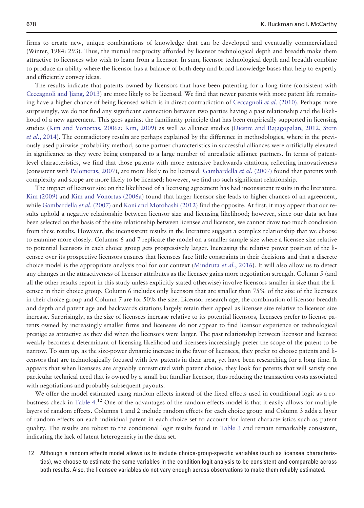firms to create new, unique combinations of knowledge that can be developed and eventually commercialized (Winter, 1984: 293). Thus, the mutual reciprocity afforded by licensor technological depth and breadth make them attractive to licensees who wish to learn from a licensor. In sum, licensor technological depth and breadth combine to produce an ability where the licensor has a balance of both deep and broad knowledge bases that help to expertly and efficiently convey ideas.

The results indicate that patents owned by licensors that have been patenting for a long time (consistent with [Ceccagnoli and Jiang, 2013\)](#page-15-0) are more likely to be licensed. We find that newer patents with more patent life remain-ing have a higher chance of being licensed which is in direct contradiction of [Ceccagnoli](#page-15-0) et al. (2010). Perhaps more surprisingly, we do not find any significant connection between two parties having a past relationship and the likelihood of a new agreement. This goes against the familiarity principle that has been empirically supported in licensing studies [\(Kim and Vonortas, 2006a;](#page-16-0) [Kim, 2009\)](#page-16-0) as well as alliance studies ([Diestre and Rajagopalan, 2012,](#page-15-0) [Stern](#page-17-0) et al.[, 2014\)](#page-17-0). The contradictory results are perhaps explained by the difference in methodologies, where in the previously used pairwise probability method, some partner characteristics in successful alliances were artificially elevated in significance as they were being compared to a large number of unrealistic alliance partners. In terms of patentlevel characteristics, we find that those patents with more extensive backwards citations, reflecting innovativeness (consistent with [Palomeras, 2007](#page-17-0)), are more likely to be licensed. [Gambardella](#page-16-0) et al. (2007) found that patents with complexity and scope are more likely to be licensed; however, we find no such significant relationship.

The impact of licensor size on the likelihood of a licensing agreement has had inconsistent results in the literature. [Kim \(2009\)](#page-16-0) and [Kim and Vonortas \(2006a\)](#page-16-0) found that larger licensor size leads to higher chances of an agreement, while [Gambardella](#page-16-0) *et al.* (2007) and [Kani and Motohashi \(2012\)](#page-16-0) find the opposite. At first, it may appear that our results uphold a negative relationship between licensor size and licensing likelihood; however, since our data set has been selected on the basis of the size relationship between licensee and licensor, we cannot draw too much conclusion from these results. However, the inconsistent results in the literature suggest a complex relationship that we choose to examine more closely. Columns 6 and 7 replicate the model on a smaller sample size where a licensee size relative to potential licensors in each choice group gets progressively larger. Increasing the relative power position of the licensee over its prospective licensors ensures that licensees face little constraints in their decisions and that a discrete choice model is the appropriate analysis tool for our context [\(Mindruta](#page-17-0) *et al.*, 2016). It will also allow us to detect any changes in the attractiveness of licensor attributes as the licensee gains more negotiation strength. Column 5 (and all the other results report in this study unless explicitly stated otherwise) involve licensors smaller in size than the licensee in their choice group. Column 6 includes only licensors that are smaller than 75% of the size of the licensees in their choice group and Column 7 are for 50% the size. Licensor research age, the combination of licensor breadth and depth and patent age and backwards citations largely retain their appeal as licensee size relative to licensor size increase. Surprisingly, as the size of licensees increase relative to its potential licensors, licensees prefer to license patents owned by increasingly smaller firms and licensees do not appear to find licensor experience or technological prestige as attractive as they did when the licensors were larger. The past relationship between licensor and licensee weakly becomes a determinant of licensing likelihood and licensees increasingly prefer the scope of the patent to be narrow. To sum up, as the size-power dynamic increase in the favor of licensees, they prefer to choose patents and licensors that are technologically focused with few patents in their area, yet have been researching for a long time. It appears that when licensees are arguably unrestricted with patent choice, they look for patents that will satisfy one particular technical need that is owned by a small but familiar licensor, thus reducing the transaction costs associated with negotiations and probably subsequent payouts.

We offer the model estimated using random effects instead of the fixed effects used in conditional logit as a ro-bustness check in [Table 4.](#page-12-0)<sup>12</sup> One of the advantages of the random effects model is that it easily allows for multiple layers of random effects. Columns 1 and 2 include random effects for each choice group and Column 3 adds a layer of random effects on each individual patent in each choice set to account for latent characteristics such as patent quality. The results are robust to the conditional logit results found in [Table 3](#page-10-0) and remain remarkably consistent, indicating the lack of latent heterogeneity in the data set.

12 Although a random effects model allows us to include choice-group-specific variables (such as licensee characteristics), we choose to estimate the same variables in the condition logit analysis to be consistent and comparable across both results. Also, the licensee variables do not vary enough across observations to make them reliably estimated.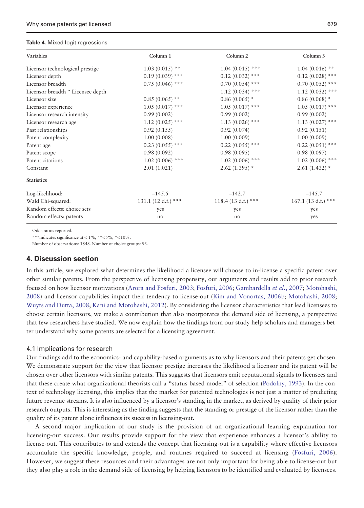#### <span id="page-12-0"></span>Table 4. Mixed logit regressions

| Variables                         | Column 1            | Column <sub>2</sub> | Column 3             |
|-----------------------------------|---------------------|---------------------|----------------------|
| Licensor technological prestige   | $1.03(0.015)$ **    | $1.04(0.015)$ ***   | $1.04(0.016)$ **     |
| Licensor depth                    | $0.19(0.039)$ ***   | $0.12(0.032)$ ***   | $0.12(0.028)$ ***    |
| Licensor breadth                  | $0.75(0.046)$ ***   | $0.70(0.054)$ ***   | $0.70(0.052)$ ***    |
| Licensor breadth * Licensee depth |                     | $1.12(0.034)$ ***   | $1.12(0.032)$ ***    |
| Licensor size                     | $0.85(0.065)$ **    | $0.86(0.065)$ *     | $0.86(0.068)$ *      |
| Licensor experience               | $1.05(0.017)$ ***   | $1.05(0.017)$ ***   | $1.05(0.017)$ ***    |
| Licensor research intensity       | 0.99(0.002)         | 0.99(0.002)         | 0.99(0.002)          |
| Licensor research age             | $1.12(0.025)$ ***   | $1.13(0.026)$ ***   | $1.13(0.027)$ ***    |
| Past relationships                | 0.92(0.155)         | 0.92(0.074)         | 0.92(0.151)          |
| Patent complexity                 | 1.00(0.008)         | 1.00(0.009)         | 1.00(0.009)          |
| Patent age                        | $0.23(0.055)$ ***   | $0.22(0.055)$ ***   | $0.22(0.051)$ ***    |
| Patent scope                      | 0.98(0.092)         | 0.98(0.095)         | 0.98(0.097)          |
| Patent citations                  | $1.02(0.006)$ ***   | $1.02(0.006)$ ***   | $1.02(0.006)$ ***    |
| Constant                          | 2.01(1.021)         | $2.62(1.395)$ *     | $2.61(1.432)$ *      |
| <b>Statistics</b>                 |                     |                     |                      |
| Log-likelihood:                   | $-145.5$            | $-142.7$            | $-145.7$             |
| Wald Chi-squared:                 | 131.1 (12 d.f.) *** | 118.4 (13 d.f.) *** | $167.1(13 d.f.)$ *** |
| Random effects: choice sets       | yes                 | yes                 | yes                  |
| Random effects: patents           | no                  | no                  | yes                  |

Odds ratios reported.

\*\*\*indicates significance at <  $1\%$ , \*\*<5%, \*<10%.

Number of observations: 1848. Number of choice groups: 93.

# 4. Discussion section

In this article, we explored what determines the likelihood a licensee will choose to in-license a specific patent over other similar patents. From the perspective of licensing propensity, our arguments and results add to prior research focused on how licensor motivations ([Arora and Fosfuri, 2003;](#page-14-0) [Fosfuri, 2006;](#page-15-0) [Gambardella](#page-16-0) et al., 2007; [Motohashi,](#page-17-0) [2008\)](#page-17-0) and licensor capabilities impact their tendency to license-out [\(Kim and Vonortas, 2006b](#page-16-0); [Motohashi, 2008;](#page-17-0) [Wuyts and Dutta, 2008](#page-18-0); [Kani and Motohashi, 2012\)](#page-16-0). By considering the licensor characteristics that lead licensees to choose certain licensors, we make a contribution that also incorporates the demand side of licensing, a perspective that few researchers have studied. We now explain how the findings from our study help scholars and managers better understand why some patents are selected for a licensing agreement.

#### 4.1 Implications for research

Our findings add to the economics- and capability-based arguments as to why licensors and their patents get chosen. We demonstrate support for the view that licensor prestige increases the likelihood a licensor and its patent will be chosen over other licensors with similar patents. This suggests that licensors emit reputational signals to licensees and that these create what organizational theorists call a "status-based model" of selection [\(Podolny, 1993](#page-17-0)). In the context of technology licensing, this implies that the market for patented technologies is not just a matter of predicting future revenue streams. It is also influenced by a licensor's standing in the market, as derived by quality of their prior research outputs. This is interesting as the finding suggests that the standing or prestige of the licensor rather than the quality of its patent alone influences its success in licensing-out.

A second major implication of our study is the provision of an organizational learning explanation for licensing-out success. Our results provide support for the view that experience enhances a licensor's ability to license-out. This contributes to and extends the concept that licensing-out is a capability where effective licensors accumulate the specific knowledge, people, and routines required to succeed at licensing ([Fosfuri, 2006\)](#page-15-0). However, we suggest these resources and their advantages are not only important for being able to license-out but they also play a role in the demand side of licensing by helping licensors to be identified and evaluated by licensees.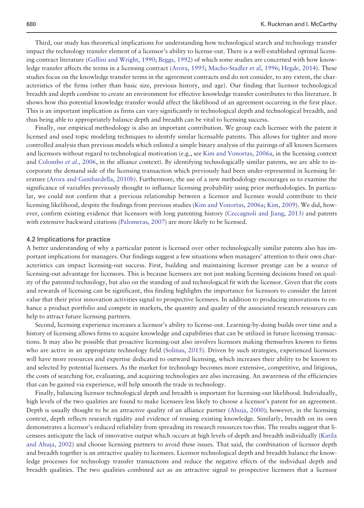Third, our study has theoretical implications for understanding how technological search and technology transfer impact the technology transfer element of a licensor's ability to license-out. There is a well-established optimal licensing contract literature ([Gallini and Wright, 1990;](#page-16-0) [Beggs, 1992\)](#page-15-0) of which some studies are concerned with how knowledge transfer affects the terms in a licensing contract ([Arora, 1995;](#page-14-0) [Macho-Stadler et al, 1996](#page-17-0); [Hegde, 2014](#page-16-0)). These studies focus on the knowledge transfer terms in the agreement contracts and do not consider, to any extent, the characteristics of the firms (other than basic size, previous history, and age). Our finding that licensor technological breadth and depth combine to create an environment for effective knowledge transfer contributes to this literature. It shows how this potential knowledge transfer would affect the likelihood of an agreement occurring in the first place. This is an important implication as firms can vary significantly in technological depth and technological breadth, and thus being able to appropriately balance depth and breadth can be vital to licensing success.

Finally, our empirical methodology is also an important contribution. We group each licensee with the patent it licensed and used topic modeling techniques to identify similar licensable patents. This allows for tighter and more controlled analysis than previous models which enlisted a simple binary analysis of the pairings of all known licensees and licensors without regard to technological motivation (e.g., see [Kim and Vonortas, 2006a,](#page-16-0) in the licensing context and [Colombo](#page-15-0) et al., 2006, in the alliance context). By identifying technologically similar patents, we are able to incorporate the demand side of the licensing transaction which previously had been under-represented in licensing literature [\(Arora and Gambardella, 2010b](#page-15-0)). Furthermore, the use of a new methodology encourages us to examine the significance of variables previously thought to influence licensing probability using prior methodologies. In particular, we could not confirm that a previous relationship between a licensor and licensee would contribute to their licensing likelihood, despite the findings from previous studies ([Kim and Vonortas, 2006a;](#page-16-0) [Kim, 2009](#page-16-0)). We did, however, confirm existing evidence that licensors with long patenting history ([Ceccagnoli and Jiang, 2013\)](#page-15-0) and patents with extensive backward citations [\(Palomeras, 2007](#page-17-0)) are more likely to be licensed.

#### 4.2 Implications for practice

A better understanding of why a particular patent is licensed over other technologically similar patents also has important implications for managers. Our findings suggest a few situations when managers' attention to their own characteristics can impact licensing-out success. First, building and maintaining licensor prestige can be a source of licensing-out advantage for licensors. This is because licensees are not just making licensing decisions based on quality of the patented technology, but also on the standing of and technological fit with the licensor. Given that the costs and rewards of licensing can be significant, this finding highlights the importance for licensors to consider the latent value that their prior innovation activities signal to prospective licensees. In addition to producing innovations to enhance a product portfolio and compete in markets, the quantity and quality of the associated research resources can help to attract future licensing partners.

Second, licensing experience increases a licensor's ability to license-out. Learning-by-doing builds over time and a history of licensing allows firms to acquire knowledge and capabilities that can be utilized in future licensing transactions. It may also be possible that proactive licensing-out also involves licensors making themselves known to firms who are active in an appropriate technology field ([Solinas, 2015](#page-17-0)). Driven by such strategies, experienced licensors will have more resources and expertise dedicated to outward licensing, which increases their ability to be known to and selected by potential licensees. As the market for technology becomes more extensive, competitive, and litigious, the costs of searching for, evaluating, and acquiring technologies are also increasing. An awareness of the efficiencies that can be gained via experience, will help smooth the trade in technology.

Finally, balancing licensor technological depth and breadth is important for licensing-out likelihood. Individually, high levels of the two qualities are found to make licensees less likely to choose a licensor's patent for an agreement. Depth is usually thought to be an attractive quality of an alliance partner ([Ahuja, 2000\)](#page-14-0); however, in the licensing context, depth reflects research rigidity and evidence of reusing existing knowledge. Similarly, breadth on its own demonstrates a licensor's reduced reliability from spreading its research resources too thin. The results suggest that licensees anticipate the lack of innovative output which occurs at high levels of depth and breadth individually ([Katila](#page-16-0) [and Ahuja, 2002\)](#page-16-0) and choose licensing partners to avoid these issues. That said, the combination of licensor depth and breadth together is an attractive quality to licensees. Licensor technological depth and breadth balance the knowledge processes for technology transfer transactions and reduce the negative effects of the individual depth and breadth qualities. The two qualities combined act as an attractive signal to prospective licensees that a licensor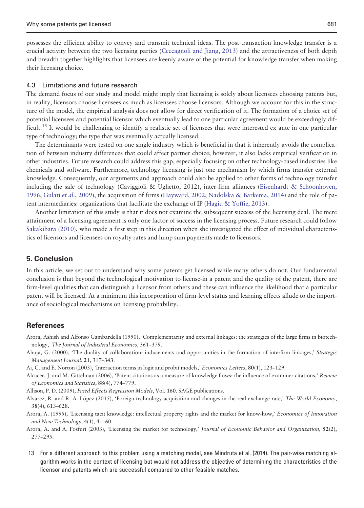<span id="page-14-0"></span>possesses the efficient ability to convey and transmit technical ideas. The post-transaction knowledge transfer is a crucial activity between the two licensing parties ([Ceccagnoli and Jiang, 2013](#page-15-0)) and the attractiveness of both depth and breadth together highlights that licensees are keenly aware of the potential for knowledge transfer when making their licensing choice.

#### 4.3 Limitations and future research

The demand focus of our study and model might imply that licensing is solely about licensees choosing patents but, in reality, licensors choose licensees as much as licensees choose licensors. Although we account for this in the structure of the model, the empirical analysis does not allow for direct verification of it. The formation of a choice set of potential licensees and potential licensor which eventually lead to one particular agreement would be exceedingly difficult.<sup>13</sup> It would be challenging to identify a realistic set of licensees that were interested ex ante in one particular type of technology; the type that was eventually actually licensed.

The determinants were tested on one single industry which is beneficial in that it inherently avoids the complication of between industry differences that could affect partner choice; however, it also lacks empirical verification in other industries. Future research could address this gap, especially focusing on other technology-based industries like chemicals and software. Furthermore, technology licensing is just one mechanism by which firms transfer external knowledge. Consequently, our arguments and approach could also be applied to other forms of technology transfer including the sale of technology (Caviggioli & Ughetto, 2012), inter-firm alliances [\(Eisenhardt](#page-15-0) [& Schoonhoven,](#page-15-0) [1996;](#page-15-0) Gulati et al.[, 2009](#page-16-0)), the acquisition of firms [\(Hayward, 2002](#page-16-0); [Nadolska](#page-17-0) [& Barkema, 2014\)](#page-17-0) and the role of patent intermediaries: organizations that facilitate the exchange of IP ([Hagiu & Yoffie, 2013\)](#page-16-0).

Another limitation of this study is that it does not examine the subsequent success of the licensing deal. The mere attainment of a licensing agreement is only one factor of success in the licensing process. Future research could follow [Sakakibara \(2010\)](#page-17-0), who made a first step in this direction when she investigated the effect of individual characteristics of licensors and licensees on royalty rates and lump sum payments made to licensors.

# 5. Conclusion

In this article, we set out to understand why some patents get licensed while many others do not. Our fundamental conclusion is that beyond the technological motivation to license-in a patent and the quality of the patent, there are firm-level qualities that can distinguish a licensor from others and these can influence the likelihood that a particular patent will be licensed. At a minimum this incorporation of firm-level status and learning effects allude to the importance of sociological mechanisms on licensing probability.

#### References

- Arora, Ashish and Alfonso Gambardella (1990), 'Complementarity and external linkages: the strategies of the large firms in biotechnology,' The Journal of Industrial Economics, 361–379.
- Ahuja, G. (2000), 'The duality of collaboration: inducements and opportunities in the formation of interfirm linkages,' Strategic Management Journal, 21, 317–343.
- Ai, C. and E. Norton (2003), 'Interaction terms in logit and probit models,' Economics Letters, 80(1), 123–129.
- Alcacer, J. and M. Gittelman (2006), 'Patent citations as a measure of knowledge flows: the influence of examiner citations,' Review of Economics and Statistics, 88(4), 774–779.
- Allison, P. D. (2009), Fixed Effects Regression Models, Vol. 160. SAGE publications.
- Alvarez, R. and R. A. López (2015), 'Foreign technology acquisition and changes in the real exchange rate,' The World Economy, 38(4), 613–628.
- Arora, A. (1995), 'Licensing tacit knowledge: intellectual property rights and the market for know-how,' Economics of Innovation and New Technology, 4(1), 41–60.
- Arora, A. and A. Fosfuri (2003), 'Licensing the market for technology,' Journal of Economic Behavior and Organization, 52(2), 277–295.
- 13 For a different approach to this problem using a matching model, see Mindruta et al. (2014). The pair-wise matching algorithm works in the context of licensing but would not address the objective of determining the characteristics of the licensor and patents which are successful compared to other feasible matches.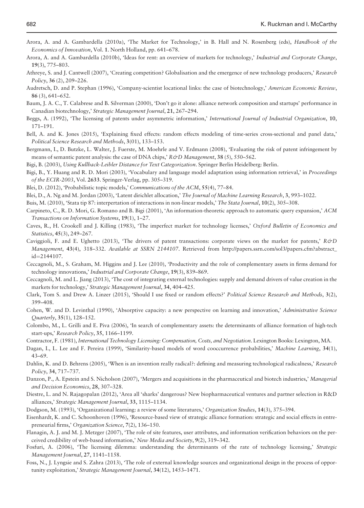- <span id="page-15-0"></span>Arora, A. and A. Gambardella (2010a), 'The Market for Technology,' in B. Hall and N. Rosenberg (eds), Handbook of the Economics of Innovation, Vol. 1. North Holland, pp. 641–678.
- Arora, A. and A. Gambardella (2010b), 'Ideas for rent: an overview of markets for technology,' Industrial and Corporate Change, 19(3), 775–803.
- Athreye, S. and J. Cantwell (2007), 'Creating competition? Globalisation and the emergence of new technology producers,' Research Policy, 36 (2), 209–226.
- Audretsch, D. and P. Stephan (1996), 'Company-scientist locational links: the case of biotechnology,' American Economic Review, 86 (3), 641–652.
- Baum, J. A. C., T. Calabrese and B. Silverman (2000), 'Don't go it alone: alliance network composition and startups' performance in Canadian biotechnology,' Strategic Management Journal, 21, 267–294.
- Beggs, A. (1992), 'The licensing of patents under asymmetric information,' International Journal of Industrial Organization, 10, 171–191.
- Bell, A. and K. Jones (2015), 'Explaining fixed effects: random effects modeling of time-series cross-sectional and panel data,' Political Science Research and Methods, 3(01), 133–153.
- Bergmann, I., D. Butzke, L. Walter, J. Fuerste, M. Moehrle and V. Erdmann (2008), 'Evaluating the risk of patent infringement by means of semantic patent analysis: the case of DNA chips,'  $R\&D$  Management, 38 (5), 550–562.
- Bigi, B. (2003), Using Kullback-Leibler Distance for Text Categorization. Springer Berlin Heidelberg: Berlin.
- Bigi, B., Y. Huang and R. D. Mori (2003), 'Vocabulary and language model adaptation using information retrieval,' in Proceedings of the ECIR-2003, Vol. 2633. Springer-Verlag, pp. 305–319.
- Blei, D. (2012), 'Probabilistic topic models,' Communications of the ACM, 55(4), 77–84.
- Blei, D., A. Ng and M. Jordan (2003), 'Latent dirichlet allocation,' The Journal of Machine Learning Research, 3, 993-1022.

Buis, M. (2010), 'Stata tip 87: interpertation of interactions in non-linear models,' The Stata Journal, 10(2), 305–308.

- Carpineto, C., R. D. Mori, G. Romano and B. Bigi (2001), 'An information-theoretic approach to automatic query expansion,' ACM Transactions on Information Systems, 19(1), 1–27.
- Caves, R., H. Crookell and J. Killing (1983), 'The imperfect market for technology licenses,' Oxford Bulletin of Economics and Statistics, 45(3), 249–267.
- Caviggioli, F. and E. Ughetto (2013), 'The drivers of patent transactions: corporate views on the market for patents,'  $R\acute{\sigma}D$ Management, 43(4), 318-332. Available at SSRN 2144107. Retrieved from [http://papers.ssrn.com/sol3/papers.cfm?abstract\\_](http://papers.ssrn.com/sol3/papers.cfm?abstract_id=2144107) [id](http://papers.ssrn.com/sol3/papers.cfm?abstract_id=2144107)=[2144107](http://papers.ssrn.com/sol3/papers.cfm?abstract_id=2144107).
- Ceccagnoli, M., S. Graham, M. Higgins and J. Lee (2010), 'Productivity and the role of complementary assets in firms demand for technology innovations,' Industrial and Corporate Change, 19(3), 839–869.
- Ceccagnoli, M. and L. Jiang (2013), 'The cost of integrating external technologies: supply and demand drivers of value creation in the markets for technology,' Strategic Management Journal, 34, 404–425.
- Clark, Tom S. and Drew A. Linzer (2015), 'Should I use fixed or random effects?' Political Science Research and Methods, 3(2), 399–408.
- Cohen, W. and D. Levinthal (1990), 'Absorptive capacity: a new perspective on learning and innovation,' Administrative Science Quarterly, 35(1), 128–152.
- Colombo, M., L. Grilli and E. Piva (2006), 'In search of complementary assets: the determinants of alliance formation of high-tech start-ups,' Research Policy, 35, 1166–1199.
- Contractor, F. (1981), International Technology Licensing: Compensation, Costs, and Negotiation. Lexington Books: Lexington, MA.
- Dagan, I., L. Lee and F. Pereira (1999), 'Similarity-based models of word cooccurrence probabilities,' Machine Learning, 34(1), 43–69.
- Dahlin, K. and D. Behrens (2005), 'When is an invention really radical?: defining and measuring technological radicalness,' Research Policy, 34, 717–737.
- Danzon, P., A. Epstein and S. Nicholson (2007), 'Mergers and acquisitions in the pharmaceutical and biotech industries,' Managerial and Decision Economics, 28, 307–328.
- Diestre, L. and N. Rajagopalan (2012), 'Area all 'sharks' dangerous? New biopharmaceutical ventures and partner selection in R&D alliances,' Strategic Management Journal, 33, 1115–1134.
- Dodgson, M. (1993), 'Organizational learning: a review of some literatures,' Organization Studies, 14(3), 375–394.
- Eisenhardt, K. and C. Schoonhoven (1996), 'Resource-based view of strategic alliance formation: strategic and social effects in entrepreneurial firms,' Organization Science, 7(2), 136–150.
- Flanagin, A. J. and M. J. Metzger (2007), 'The role of site features, user attributes, and information verification behaviors on the perceived credibility of web-based information,' New Media and Society, 9(2), 319–342.
- Fosfuri, A. (2006), 'The licensing dilemma: understanding the determinants of the rate of technology licensing,' Strategic Management Journal, 27, 1141–1158.
- Foss, N., J. Lyngsie and S. Zahra (2013), 'The role of external knowledge sources and organizational design in the process of opportunity exploitation,' Strategic Management Journal, 34(12), 1453–1471.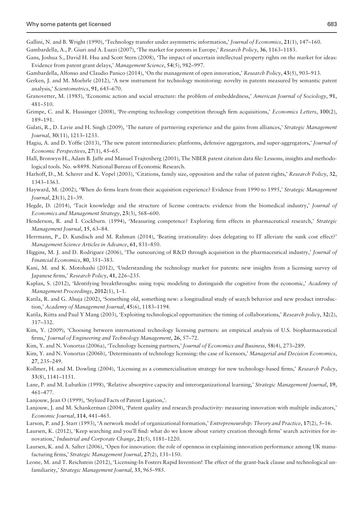<span id="page-16-0"></span>Gallini, N. and B. Wright (1990), 'Technology transfer under asymmetric information,' Journal of Economics, 21(1), 147-160. Gambardella, A., P. Giuri and A. Luzzi (2007), 'The market for patents in Europe,' Research Policy, 36, 1163–1183.

- Gans, Joshua S., David H. Hsu and Scott Stern (2008), 'The impact of uncertain intellectual property rights on the market for ideas: Evidence from patent grant delays,' Management Science, 54(5), 982–997.
- Gambardella, Alfonso and Claudio Panico (2014), 'On the management of open innovation,' Research Policy, 43(5), 903–913.
- Gerken, J. and M. Moehrle (2012), 'A new instrument for technology monitoring: novelty in patents measured by semantic patent analysis,' Scientometrics, 91, 645–670.
- Granovetter, M. (1985), 'Economic action and social structure: the problem of embeddedness,' American Journal of Sociology, 91, 481–510.
- Grimpe, C. and K. Hussinger (2008), 'Pre-empting technology competition through firm acquisitions,' Economics Letters, 100(2), 189–191.
- Gulati, R., D. Lavie and H. Singh (2009), 'The nature of partnering experience and the gains from alliances,' Strategic Management Journal, 30(11), 1213–1233.
- Hagiu, A. and D. Yoffie (2013), 'The new patent intermediaries: platforms, defensive aggregators, and super-aggregators,' Journal of Economic Perspectives, 27(1), 45–65.
- Hall, Bronwyn H., Adam B. Jaffe and Manuel Trajtenberg (2001), The NBER patent citation data file: Lessons, insights and methodological tools. No. w8498. National Bureau of Economic Research.
- Harhoff, D., M. Scherer and K. Vopel (2003), 'Citations, family size, opposition and the value of patent rights,' Research Policy, 32, 1343–1363.
- Hayward, M. (2002), 'When do firms learn from their acquisition experience? Evidence from 1990 to 1995,' Strategic Management Journal, 23(1), 21–39.
- Hegde, D. (2014), 'Tacit knowledge and the structure of license contracts: evidence from the biomedical industry,' Journal of Economics and Management Strategy, 23(3), 568–600.
- Henderson, R. and I. Cockburn. (1994), 'Measuring competence? Exploring firm effects in pharmaceutical research,' Strategic Management Journal, 15, 63–84.
- Herrmann, P., D. Kundisch and M. Rahman (2014), 'Beating irrationality: does delegating to IT alleviate the sunk cost effect?' Management Science Articles in Advance, 61, 831–850.
- Higgins, M. J. and D. Rodriguez (2006), 'The outsourcing of R&D through acquisition in the pharmaceutical industry,' Journal of Financial Economics, 80, 351–383.
- Kani, M. and K. Motohashi (2012), 'Understanding the technology market for patents: new insights from a licensing survey of Japanese firms,' Research Policy, 41, 226–235.
- Kaplan, S. (2012), 'Identifying breakthroughs: using topic modeling to distinguish the cognitive from the economic,' Academy of Management Proceedings, 2012(1), 1–1.
- Katila, R. and G. Ahuja (2002), 'Something old, something new: a longitudinal study of search behavior and new product introduction,' Academy of Management Journal, 45(6), 1183–1194.
- Katila, Riitta and Paul Y Mang (2003), 'Exploiting technological opportunities: the timing of collaborations,' Research policy, 32(2), 317–332.
- Kim, Y. (2009), 'Choosing between international technology licensing partners: an empirical analysis of U.S. biopharmaceutical firms,' Journal of Engineering and Technology Management, 26, 57–72.
- Kim, Y. and N. Vonortas (2006a), 'Technology licensing partners,' Journal of Economics and Business, 58(4), 273-289.
- Kim, Y. and N. Vonortas (2006b), 'Determinants of technology licensing: the case of licensors,' Managerial and Decision Economics, 27, 235–249.
- Kollmer, H. and M. Dowling (2004), 'Licensing as a commercialisation strategy for new technology-based firms,' Research Policy, 33(8), 1141–1151.
- Lane, P. and M. Lubatkin (1998), 'Relative absorptive capacity and interorganizational learning,' Strategic Management Journal, 19, 461–477.
- Lanjouw, Jean O (1999), 'Stylized Facts of Patent Ligation,'.
- Lanjouw, J. and M. Schankerman (2004), 'Patent quality and research productivity: measuring innovation with multiple indicators,' Economic Journal, 114, 441–465.
- Larson, P. and J. Starr (1993), 'A network model of organizational formation,' Entrepreneurship: Theory and Practice, 17(2), 5–16.
- Laursen, K. (2012), 'Keep searching and you'll find: what do we know about variety creation through firms' search activities for innovation,' Industrial and Corporate Change, 21(5), 1181–1220.
- Laursen, K. and A. Salter (2006), 'Open for innovation: the role of openness in explaining innovation performance among UK manufacturing firms,' Strategic Management Journal, 27(2), 131–150.
- Leone, M. and T. Reichstein (2012), 'Licensing-In Fosters Rapid Invention! The effect of the grant-back clause and technological unfamiliarity,' Strategic Management Journal, 33, 965–985.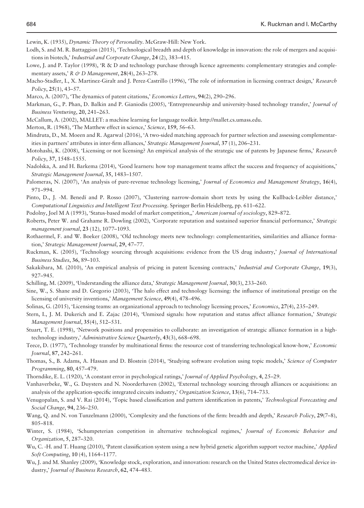<span id="page-17-0"></span>Lewin, K. (1935), Dynamic Theory of Personality. McGraw-Hill: New York.

- Lodh, S. and M. R. Battaggion (2015), 'Technological breadth and depth of knowledge in innovation: the role of mergers and acquisitions in biotech,' Industrial and Corporate Change, 24 (2), 383–415.
- Lowe, J. and P. Taylor (1998), 'R & D and technology purchase through licence agreements: complementary strategies and complementary assets,' R & D Management,  $28(4)$ ,  $263-278$ .
- Macho-Stadler, I., X. Martinez-Giralt and J. Perez-Castrillo (1996), 'The role of information in licensing contract design,' Research Policy, 25(1), 43–57.
- Marco, A. (2007), 'The dynamics of patent citations,' *Economics Letters*, 94(2), 290–296.
- Markman, G., P. Phan, D. Balkin and P. Gianiodis (2005), 'Entrepreneurship and university-based technology transfer,' Journal of Business Venturing, 20, 241–263.
- McCallum, A. (2002), MALLET: a machine learning for language toolkit. [http://mallet.cs.umass.edu.](http://mallet.cs.umass.edu)
- Merton, R. (1968), 'The Matthew effect in science,' Science, 159, 56-63.
- Mindruta, D., M. Moeen and R. Agarwal (2016), 'A two-sided matching approach for partner selection and assessing complementarities in partners' attributes in inter-firm alliances,' Strategic Management Journal, 37 (1), 206-231.
- Motohashi, K. (2008), 'Licensing or not licensing? An empirical analysis of the strategic use of patents by Japanese firms,' Research Policy, 37, 1548–1555.
- Nadolska, A. and H. Barkema (2014), 'Good learners: how top management teams affect the success and frequency of acquisitions,' Strategic Management Journal, 35, 1483–1507.
- Palomeras, N. (2007), 'An analysis of pure-revenue technology licensing,' Journal of Economics and Management Strategy, 16(4), 971–994.
- Pinto, D., J. -M. Benedí and P. Rosso (2007), 'Clustering narrow-domain short texts by using the Kullback-Leibler distance,' Computational Linguistics and Intelligent Text Processing. Springer Berlin Heidelberg, pp. 611–622.
- Podolny, Joel M A (1993), 'Status-based model of market competition,,' American journal of sociology, 829-872.
- Roberts, Peter W. and Grahame R. Dowling (2002), 'Corporate reputation and sustained superior financial performance,' Strategic management journal, 23 (12), 1077–1093.
- Rothaermel, F. and W. Boeker (2008), 'Old technology meets new technology: complementarities, similarities and alliance formation,' Strategic Management Journal, 29, 47–77.
- Ruckman, K. (2005), 'Technology sourcing through acquisitions: evidence from the US drug industry,' Journal of International Business Studies, 36, 89–103.
- Sakakibara, M. (2010), 'An empirical analysis of pricing in patent licensing contracts,' Industrial and Corporate Change, 19(3), 927–945.
- Schilling, M. (2009), 'Understanding the alliance data,' Strategic Management Journal, 30(3), 233–260.
- Sine, W., S. Shane and D. Gregorio (2003), 'The halo effect and technology licensing: the influence of institutional prestige on the licensing of university inventions,' Management Science, 49(4), 478–496.
- Solinas, G. (2015), 'Licensing teams: an organizational approach to technology licensing proces,' Economics, 27(4), 235–249.
- Stern, I., J. M. Dukerich and E. Zajac (2014), 'Unmixed signals: how reputation and status affect alliance formation,' Strategic Management Journal, 35(4), 512–531.
- Stuart, T. E. (1998), 'Network positions and propensities to collaborate: an investigation of strategic alliance formation in a hightechnology industry,' Administrative Science Quarterly, 43(3), 668–698.
- Teece, D. (1977), 'Technology transfer by multinational firms: the resource cost of transferring technological know-how,' Economic Journal, 87, 242–261.
- Thomas, S., B. Adams, A. Hassan and D. Blostein (2014), 'Studying software evolution using topic models,' Science of Computer Programming, 80, 457–479.
- Thorndike, E. L. (1920), 'A constant error in psychological ratings,' Journal of Applied Psychology, 4, 25–29.
- Vanhaverbeke, W., G. Duysters and N. Noorderhaven (2002), 'External technology sourcing through alliances or acquisitions: an analysis of the application-specific integrated circuits industry,' Organization Science, 13(6), 714–733.
- Venugopalan, S. and V. Rai (2014), 'Topic based classification and pattern identification in patents,' Technological Forecasting and Social Change, 94, 236–250.
- Wang, Q. and N. von Tunzelmann (2000), 'Complexity and the functions of the firm: breadth and depth,' Research Policy, 29(7-8), 805–818.
- Winter, S. (1984), 'Schumpeterian competition in alternative technological regimes,' Journal of Economic Behavior and Organization, 5, 287–320.
- Wu, C. -H. and T. Huang (2010), 'Patent classification system using a new hybrid genetic algorithm support vector machine,' Applied Soft Computing, 10 (4), 1164–1177.
- Wu, J. and M. Shanley (2009), 'Knowledge stock, exploration, and innovation: research on the United States electromedical device industry,' Journal of Business Research, 62, 474–483.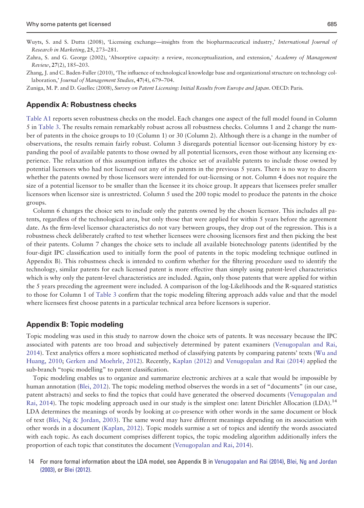<span id="page-18-0"></span>Wuyts, S. and S. Dutta (2008), 'Licensing exchange—insights from the biopharmaceutical industry,' International Journal of Research in Marketing, 25, 273–281.

Zhang, J. and C. Baden-Fuller (2010), 'The influence of technological knowledge base and organizational structure on technology collaboration,' Journal of Management Studies, 47(4), 679–704.

Zuniga, M. P. and D. Guellec (2008), Survey on Patent Licensing: Initial Results from Europe and Japan. OECD: Paris.

#### Appendix A: Robustness checks

[Table A1](#page-19-0) reports seven robustness checks on the model. Each changes one aspect of the full model found in Column 5 in [Table 3.](#page-10-0) The results remain remarkably robust across all robustness checks. Columns 1 and 2 change the number of patents in the choice groups to 10 (Column 1) or 30 (Column 2). Although there is a change in the number of observations, the results remain fairly robust. Column 3 disregards potential licensor out-licensing history by expanding the pool of available patents to those owned by all potential licensors, even those without any licensing experience. The relaxation of this assumption inflates the choice set of available patents to include those owned by potential licensors who had not licensed out any of its patents in the previous 5 years. There is no way to discern whether the patents owned by those licensors were intended for out-licensing or not. Column 4 does not require the size of a potential licensor to be smaller than the licensee it its choice group. It appears that licensees prefer smaller licensors when licensor size is unrestricted. Column 5 used the 200 topic model to produce the patents in the choice groups.

Column 6 changes the choice sets to include only the patents owned by the chosen licensor. This includes all patents, regardless of the technological area, but only those that were applied for within 5 years before the agreement date. As the firm-level licensor characteristics do not vary between groups, they drop out of the regression. This is a robustness check deliberately crafted to test whether licensees were choosing licensors first and then picking the best of their patents. Column 7 changes the choice sets to include all available biotechnology patents (identified by the four-digit IPC classification used to initially form the pool of patents in the topic modeling technique outlined in Appendix B). This robustness check is intended to confirm whether for the filtering procedure used to identify the technology, similar patents for each licensed patent is more effective than simply using patent-level characteristics which is why only the patent-level characteristics are included. Again, only those patents that were applied for within the 5 years preceding the agreement were included. A comparison of the log-Likelihoods and the R-squared statistics to those for Column 1 of [Table 3](#page-10-0) confirm that the topic modeling filtering approach adds value and that the model where licensees first choose patents in a particular technical area before licensors is superior.

#### Appendix B: Topic modeling

Topic modeling was used in this study to narrow down the choice sets of patents. It was necessary because the IPC associated with patents are too broad and subjectively determined by patent examiners [\(Venugopalan and Rai,](#page-17-0) [2014\)](#page-17-0). Text analytics offers a more sophisticated method of classifying patents by comparing patents' texts [\(Wu and](#page-17-0) [Huang, 2010](#page-17-0); [Gerken and Moehrle, 2012](#page-16-0)). Recently, [Kaplan \(2012\)](#page-16-0) and [Venugopalan and Rai \(2014\)](#page-17-0) applied the sub-branch "topic modelling" to patent classification.

Topic modeling enables us to organize and summarize electronic archives at a scale that would be impossible by human annotation ([Blei, 2012](#page-15-0)). The topic modeling method observes the words in a set of "documents" (in our case, patent abstracts) and seeks to find the topics that could have generated the observed documents [\(Venugopalan and](#page-17-0) [Rai, 2014\)](#page-17-0). The topic modeling approach used in our study is the simplest one: latent Dirichlet Allocation (LDA).<sup>14</sup> LDA determines the meanings of words by looking at co-presence with other words in the same document or block of text ([Blei, Ng & Jordan, 2003\)](#page-15-0). The same word may have different meanings depending on its association with other words in a document [\(Kaplan, 2012\)](#page-16-0). Topic models surmise a set of topics and identify the words associated with each topic. As each document comprises different topics, the topic modeling algorithm additionally infers the proportion of each topic that constitutes the document ([Venugopalan and Rai, 2014](#page-17-0)).

14 For more formal information about the LDA model, see Appendix B in [Venugopalan and Rai \(2014\)](#page-17-0), [Blei, Ng and Jordan](#page-17-0) [\(2003\)](#page-17-0), or [Blei \(2012\).](#page-15-0)

Zahra, S. and G. George (2002), 'Absorptive capacity: a review, reconceptualization, and extension,' Academy of Management Review, 27(2), 185–203.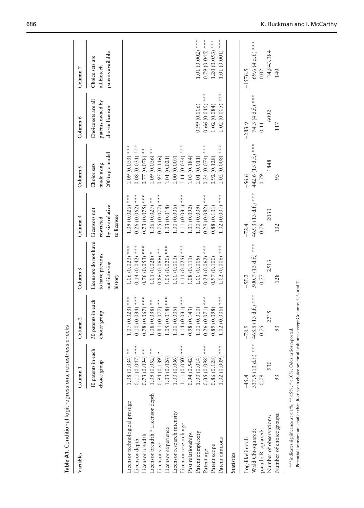<span id="page-19-0"></span>

| Variables                                                                                                                                                                                                                                                                                               | Column <sub>1</sub>                                                                                                                                                                                                                       | Column <sub>2</sub>                                                                                                                                                                                                                               | Column 3                                                                                                                                                                                                                                            | Column 4                                                                                                                                                                                                                                         | Column 5                                                                                                                                                                                                                               | Column 6                                                             | Column <sub>7</sub>                                                             |
|---------------------------------------------------------------------------------------------------------------------------------------------------------------------------------------------------------------------------------------------------------------------------------------------------------|-------------------------------------------------------------------------------------------------------------------------------------------------------------------------------------------------------------------------------------------|---------------------------------------------------------------------------------------------------------------------------------------------------------------------------------------------------------------------------------------------------|-----------------------------------------------------------------------------------------------------------------------------------------------------------------------------------------------------------------------------------------------------|--------------------------------------------------------------------------------------------------------------------------------------------------------------------------------------------------------------------------------------------------|----------------------------------------------------------------------------------------------------------------------------------------------------------------------------------------------------------------------------------------|----------------------------------------------------------------------|---------------------------------------------------------------------------------|
|                                                                                                                                                                                                                                                                                                         | 10 patents in each<br>choice group                                                                                                                                                                                                        | 30 patents in each<br>choice group                                                                                                                                                                                                                | Licensors do not have<br>to have previous<br>out-licensing<br>history                                                                                                                                                                               | by size relative<br>Licensors not<br>to licensee<br>restricted                                                                                                                                                                                   | 200 topic model<br>made using<br>Choice sets                                                                                                                                                                                           | Choice sets are all<br>patents owned by<br>chosen licensor           | patents available<br>Choice sets are<br>all biotech                             |
| Licensor breadth * Licensor depth<br>Licensor technological prestige<br>Licensor research intensity<br>Licensor research age<br>Licensor experience<br>Patent complexity<br>Past relationships<br>Licensor breadth<br>Patent citations<br>Licensor depth<br>Licensor size<br>Patent scope<br>Patent age | $0.11(0.047)$ ***<br>1.11 (0.050) ***<br>$1.02(0.009)$ ***<br>$0.35(0.098)$ ***<br>$1.08(0.034)$ **<br>$0.73(0.094)$ **<br>$1.09(0.052)$ **<br>$0.94(0.139)$ *<br>1.03(0.026)<br>1.00(0.006)<br>0.94(0.542)<br>1.00(0.014)<br>0.86(0.128) | $1.07(0.023)$ ***<br>$0.10(0.034)$ ***<br>$1.05(0.018)$ ***<br>$1.14(0.031)$ ***<br>$0.26(0.071)$ ***<br>$1.02(0.006)$ ***<br>$0.78(0.067)$ ***<br>$1.08(0.038)$ **<br>$0.81(0.077)*$<br>1.00(0.005)<br>1.01(0.010)<br>0.89(0.098)<br>0.98(0.143) | $1.06(0.023)$ ***<br>$0.14(0.042)$ ***<br>$1.02(0.006)$ ***<br>$0.76(0.053)$ ***<br>$1.05(0.020)$ ***<br>1.11 $(0.025)$ ***<br>$0.24(0.062)$ ***<br>$0.86(0.066)$ **<br>$1.01(0.028)$ *<br>1.00(0.009)<br>0.97(0.100)<br>1.00(0.003)<br>1.08(0.111) | $1.09(0.026)$ ***<br>$1.11(0.031)$ ***<br>$1.02(0.007)$ ***<br>$0.26(0.062)$ ***<br>$0.73(0.075)$ ***<br>$0.75(0.077)$ ***<br>$0.29(0.082)$ ***<br>$1.06(0.027)$ **<br>1.00(0.006)<br>(0.00(0.009)<br>0.88 (0.101)<br>1.03(0.018)<br>1.01(0.092) | $1.02(0.008)$ ***<br>$1.09(0.033)$ ***<br>$0.08(0.031)$ ***<br>1.11 (0.034) ***<br>$0.24(0.074)$ ***<br>$1.09(0.036)$ **<br>$0.77(0.078)$ **<br>0.92(0.128)<br>0.95(0.116)<br>1.03(0.184)<br>1.01(0.011)<br>1.01(0.021)<br>1.00(0.007) | $1.02(0.005)$ ***<br>$0.66(0.049)$ ***<br>0.99(0.006)<br>1.02(0.084) | $1.01(0.002)$ ***<br>$1.20(0.053)$ ***<br>1.01 (0.001) ***<br>$0.79(0.045)$ *** |
| Number of choice groups:<br>Number of observations:<br>Wald Chi-squared:<br>pseudo R-squared:<br>Log-likelihood:<br>Statistics                                                                                                                                                                          | 337.5 (13 d.f.) ***<br>930<br>$-45.4$<br>0.79<br>93                                                                                                                                                                                       | 468.5 (13 d.f.) ***<br>2715<br>$-78.9$<br>93<br>0.75                                                                                                                                                                                              | 500.7 (13 d.f.) ***<br>2513<br>$-55.2$<br>128<br>0.77                                                                                                                                                                                               | 465.3 (13 d.f.) ***<br>2030<br>$-72.4$<br>0.76<br>102                                                                                                                                                                                            | 442.6 (13 d.f.) ***<br>1848<br>$-56.6$<br>93<br>0.79                                                                                                                                                                                   | 74.3 (4 d.f.) ***<br>6092<br>$-283.9$<br>117<br>0.11                 | 69.6 (4 d.f.) ***<br>14,843,384<br>$-1576.5$<br>140<br>0.02                     |

Table A1. Conditional logit regressions, robustness checks Table A1. Conditional logit regressions, robustness checks

\*\*\* indicates significance at < 1%, \*\* < 5%, \*<< 10%. Odds ratios reported. \*\*\*indicates significance at < 1%, \*\*<5%, \*<10%. Odds ratios reported.

Potential licensors are smaller than licensee in choice set for all columns except Columns 4, 6, and 7. Potential licensors are smaller than licensee in choice set for all columns except Columns 4, 6, and 7.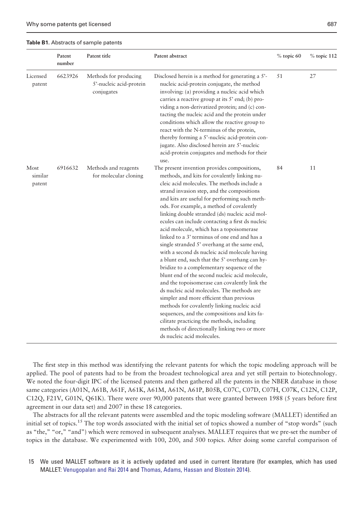<span id="page-20-0"></span>Table B1. Abstracts of sample patents

|                           | Patent<br>number | Patent title                                                   | Patent abstract                                                                                                                                                                                                                                                                                                                                                                                                                                                                                                                                                                                                                                                                                                                                                                                                                                                                                                                                                                                                                                                                                                   | % topic 60 | $%$ topic 112 |
|---------------------------|------------------|----------------------------------------------------------------|-------------------------------------------------------------------------------------------------------------------------------------------------------------------------------------------------------------------------------------------------------------------------------------------------------------------------------------------------------------------------------------------------------------------------------------------------------------------------------------------------------------------------------------------------------------------------------------------------------------------------------------------------------------------------------------------------------------------------------------------------------------------------------------------------------------------------------------------------------------------------------------------------------------------------------------------------------------------------------------------------------------------------------------------------------------------------------------------------------------------|------------|---------------|
| Licensed<br>patent        | 6623926          | Methods for producing<br>5'-nucleic acid-protein<br>conjugates | Disclosed herein is a method for generating a 5'-<br>nucleic acid-protein conjugate, the method<br>involving: (a) providing a nucleic acid which<br>carries a reactive group at its 5' end; (b) pro-<br>viding a non-derivatized protein; and (c) con-<br>tacting the nucleic acid and the protein under<br>conditions which allow the reactive group to<br>react with the N-terminus of the protein,<br>thereby forming a 5'-nucleic acid-protein con-<br>jugate. Also disclosed herein are 5'-nucleic<br>acid-protein conjugates and methods for their<br>use.                                                                                                                                                                                                                                                                                                                                                                                                                                                                                                                                                  | 51         | 27            |
| Most<br>similar<br>patent | 6916632          | Methods and reagents<br>for molecular cloning                  | The present invention provides compositions,<br>methods, and kits for covalently linking nu-<br>cleic acid molecules. The methods include a<br>strand invasion step, and the compositions<br>and kits are useful for performing such meth-<br>ods. For example, a method of covalently<br>linking double stranded (ds) nucleic acid mol-<br>ecules can include contacting a first ds nucleic<br>acid molecule, which has a topoisomerase<br>linked to a 3' terminus of one end and has a<br>single stranded 5' overhang at the same end,<br>with a second ds nucleic acid molecule having<br>a blunt end, such that the 5' overhang can hy-<br>bridize to a complementary sequence of the<br>blunt end of the second nucleic acid molecule,<br>and the topoisomerase can covalently link the<br>ds nucleic acid molecules. The methods are<br>simpler and more efficient than previous<br>methods for covalently linking nucleic acid<br>sequences, and the compositions and kits fa-<br>cilitate practicing the methods, including<br>methods of directionally linking two or more<br>ds nucleic acid molecules. | 84         | 11            |

The first step in this method was identifying the relevant patents for which the topic modeling approach will be applied. The pool of patents had to be from the broadest technological area and yet still pertain to biotechnology. We noted the four-digit IPC of the licensed patents and then gathered all the patents in the NBER database in those same categories (A01N, A61B, A61F, A61K, A61M, A61N, A61P, B05B, C07C, C07D, C07H, C07K, C12N, C12P, C12Q, F21V, G01N, Q61K). There were over 90,000 patents that were granted between 1988 (5 years before first agreement in our data set) and 2007 in these 18 categories.

The abstracts for all the relevant patents were assembled and the topic modeling software (MALLET) identified an initial set of topics.<sup>15</sup> The top words associated with the initial set of topics showed a number of "stop words" (such as "the," "or," "and") which were removed in subsequent analyses. MALLET requires that we pre-set the number of topics in the database. We experimented with 100, 200, and 500 topics. After doing some careful comparison of

15 We used MALLET software as it is actively updated and used in current literature (for examples, which has used MALLET: [Venugopalan and Rai 2014](#page-17-0) and [Thomas, Adams, Hassan and Blostein 2014\)](#page-17-0).